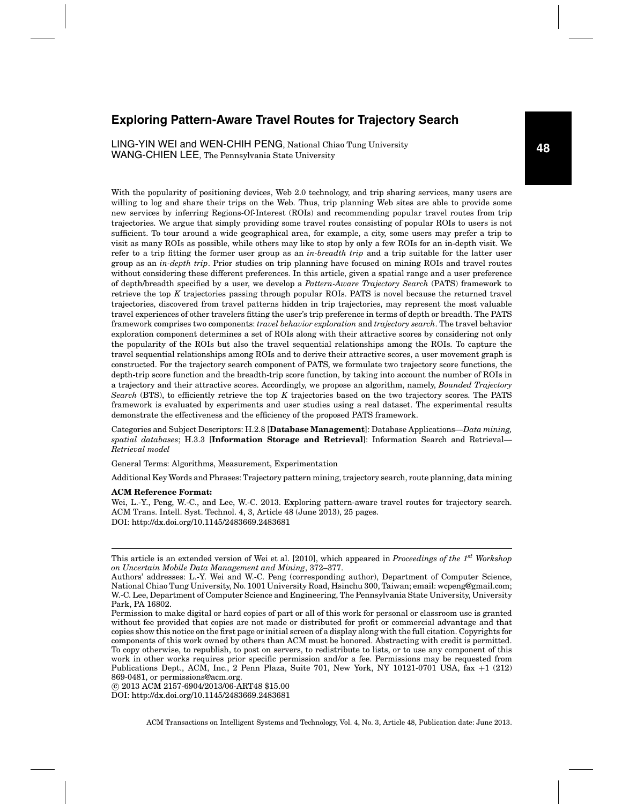# **Exploring Pattern-Aware Travel Routes for Trajectory Search**

LING-YIN WEI and WEN-CHIH PENG, National Chiao Tung University WANG-CHIEN LEE, The Pennsylvania State University

With the popularity of positioning devices, Web 2.0 technology, and trip sharing services, many users are willing to log and share their trips on the Web. Thus, trip planning Web sites are able to provide some new services by inferring Regions-Of-Interest (ROIs) and recommending popular travel routes from trip trajectories. We argue that simply providing some travel routes consisting of popular ROIs to users is not sufficient. To tour around a wide geographical area, for example, a city, some users may prefer a trip to visit as many ROIs as possible, while others may like to stop by only a few ROIs for an in-depth visit. We refer to a trip fitting the former user group as an *in-breadth trip* and a trip suitable for the latter user group as an *in-depth trip*. Prior studies on trip planning have focused on mining ROIs and travel routes without considering these different preferences. In this article, given a spatial range and a user preference of depth/breadth specified by a user, we develop a *Pattern-Aware Trajectory Search* (PATS) framework to retrieve the top *K* trajectories passing through popular ROIs. PATS is novel because the returned travel trajectories, discovered from travel patterns hidden in trip trajectories, may represent the most valuable travel experiences of other travelers fitting the user's trip preference in terms of depth or breadth. The PATS framework comprises two components: *travel behavior exploration* and *trajectory search*. The travel behavior exploration component determines a set of ROIs along with their attractive scores by considering not only the popularity of the ROIs but also the travel sequential relationships among the ROIs. To capture the travel sequential relationships among ROIs and to derive their attractive scores, a user movement graph is constructed. For the trajectory search component of PATS, we formulate two trajectory score functions, the depth-trip score function and the breadth-trip score function, by taking into account the number of ROIs in a trajectory and their attractive scores. Accordingly, we propose an algorithm, namely, *Bounded Trajectory Search* (BTS), to efficiently retrieve the top *K* trajectories based on the two trajectory scores. The PATS framework is evaluated by experiments and user studies using a real dataset. The experimental results demonstrate the effectiveness and the efficiency of the proposed PATS framework.

Categories and Subject Descriptors: H.2.8 [**Database Management**]: Database Applications—*Data mining, spatial databases*; H.3.3 [**Information Storage and Retrieval**]: Information Search and Retrieval— *Retrieval model*

General Terms: Algorithms, Measurement, Experimentation

Additional Key Words and Phrases: Trajectory pattern mining, trajectory search, route planning, data mining

#### **ACM Reference Format:**

Wei, L.-Y., Peng, W.-C., and Lee, W.-C. 2013. Exploring pattern-aware travel routes for trajectory search. ACM Trans. Intell. Syst. Technol. 4, 3, Article 48 (June 2013), 25 pages. DOI: http://dx.doi.org/10.1145/2483669.2483681

-c 2013 ACM 2157-6904/2013/06-ART48 \$15.00

DOI: http://dx.doi.org/10.1145/2483669.2483681

This article is an extended version of Wei et al. [2010], which appeared in *Proceedings of the 1st Workshop on Uncertain Mobile Data Management and Mining*, 372–377.

Authors' addresses: L.-Y. Wei and W.-C. Peng (corresponding author), Department of Computer Science, National Chiao Tung University, No. 1001 University Road, Hsinchu 300, Taiwan; email: wcpeng@gmail.com; W.-C. Lee, Department of Computer Science and Engineering, The Pennsylvania State University, University Park, PA 16802.

Permission to make digital or hard copies of part or all of this work for personal or classroom use is granted without fee provided that copies are not made or distributed for profit or commercial advantage and that copies show this notice on the first page or initial screen of a display along with the full citation. Copyrights for components of this work owned by others than ACM must be honored. Abstracting with credit is permitted. To copy otherwise, to republish, to post on servers, to redistribute to lists, or to use any component of this work in other works requires prior specific permission and/or a fee. Permissions may be requested from Publications Dept., ACM, Inc., 2 Penn Plaza, Suite 701, New York, NY 10121-0701 USA, fax +1 (212) 869-0481, or permissions@acm.org.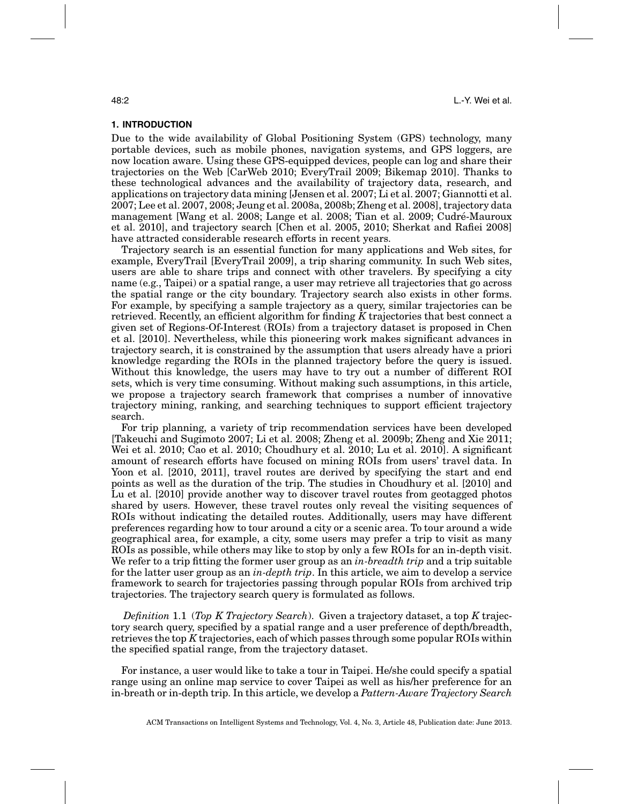### **1. INTRODUCTION**

Due to the wide availability of Global Positioning System (GPS) technology, many portable devices, such as mobile phones, navigation systems, and GPS loggers, are now location aware. Using these GPS-equipped devices, people can log and share their trajectories on the Web [CarWeb 2010; EveryTrail 2009; Bikemap 2010]. Thanks to these technological advances and the availability of trajectory data, research, and applications on trajectory data mining [Jensen et al. 2007; Li et al. 2007; Giannotti et al. 2007; Lee et al. 2007, 2008; Jeung et al. 2008a, 2008b; Zheng et al. 2008], trajectory data management [Wang et al. 2008; Lange et al. 2008; Tian et al. 2009; Cudre-Mauroux ´ et al. 2010], and trajectory search [Chen et al. 2005, 2010; Sherkat and Rafiei 2008] have attracted considerable research efforts in recent years.

Trajectory search is an essential function for many applications and Web sites, for example, EveryTrail [EveryTrail 2009], a trip sharing community. In such Web sites, users are able to share trips and connect with other travelers. By specifying a city name (e.g., Taipei) or a spatial range, a user may retrieve all trajectories that go across the spatial range or the city boundary. Trajectory search also exists in other forms. For example, by specifying a sample trajectory as a query, similar trajectories can be retrieved. Recently, an efficient algorithm for finding *K* trajectories that best connect a given set of Regions-Of-Interest (ROIs) from a trajectory dataset is proposed in Chen et al. [2010]. Nevertheless, while this pioneering work makes significant advances in trajectory search, it is constrained by the assumption that users already have a priori knowledge regarding the ROIs in the planned trajectory before the query is issued. Without this knowledge, the users may have to try out a number of different ROI sets, which is very time consuming. Without making such assumptions, in this article, we propose a trajectory search framework that comprises a number of innovative trajectory mining, ranking, and searching techniques to support efficient trajectory search.

For trip planning, a variety of trip recommendation services have been developed [Takeuchi and Sugimoto 2007; Li et al. 2008; Zheng et al. 2009b; Zheng and Xie 2011; Wei et al. 2010; Cao et al. 2010; Choudhury et al. 2010; Lu et al. 2010]. A significant amount of research efforts have focused on mining ROIs from users' travel data. In Yoon et al. [2010, 2011], travel routes are derived by specifying the start and end points as well as the duration of the trip. The studies in Choudhury et al. [2010] and Lu et al. [2010] provide another way to discover travel routes from geotagged photos shared by users. However, these travel routes only reveal the visiting sequences of ROIs without indicating the detailed routes. Additionally, users may have different preferences regarding how to tour around a city or a scenic area. To tour around a wide geographical area, for example, a city, some users may prefer a trip to visit as many ROIs as possible, while others may like to stop by only a few ROIs for an in-depth visit. We refer to a trip fitting the former user group as an *in-breadth trip* and a trip suitable for the latter user group as an *in-depth trip*. In this article, we aim to develop a service framework to search for trajectories passing through popular ROIs from archived trip trajectories. The trajectory search query is formulated as follows.

*Definition* 1.1 (*Top K Trajectory Search*). Given a trajectory dataset, a top *K* trajectory search query, specified by a spatial range and a user preference of depth/breadth, retrieves the top *K* trajectories, each of which passes through some popular ROIs within the specified spatial range, from the trajectory dataset.

For instance, a user would like to take a tour in Taipei. He/she could specify a spatial range using an online map service to cover Taipei as well as his/her preference for an in-breath or in-depth trip. In this article, we develop a *Pattern-Aware Trajectory Search*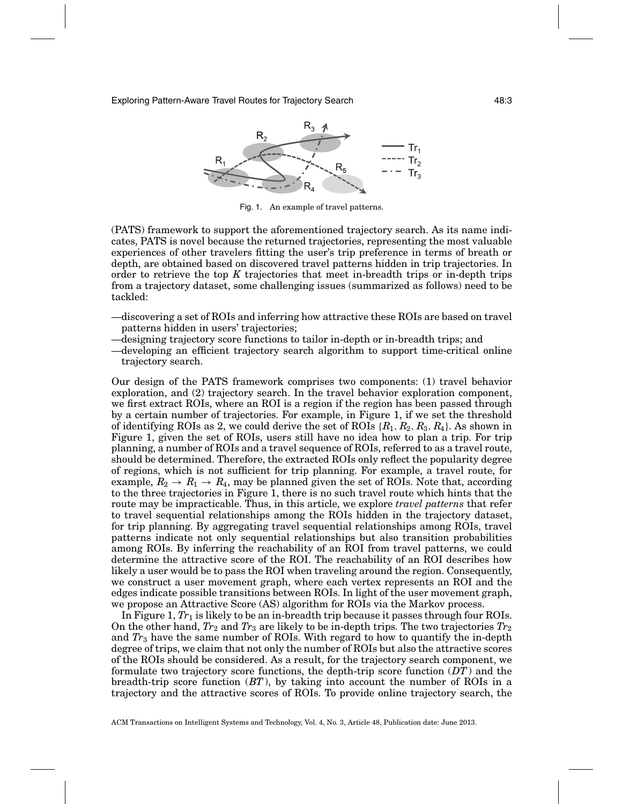

Fig. 1. An example of travel patterns.

(PATS) framework to support the aforementioned trajectory search. As its name indicates, PATS is novel because the returned trajectories, representing the most valuable experiences of other travelers fitting the user's trip preference in terms of breath or depth, are obtained based on discovered travel patterns hidden in trip trajectories. In order to retrieve the top *K* trajectories that meet in-breadth trips or in-depth trips from a trajectory dataset, some challenging issues (summarized as follows) need to be tackled:

- —discovering a set of ROIs and inferring how attractive these ROIs are based on travel patterns hidden in users' trajectories;
- —designing trajectory score functions to tailor in-depth or in-breadth trips; and
- —developing an efficient trajectory search algorithm to support time-critical online trajectory search.

Our design of the PATS framework comprises two components: (1) travel behavior exploration, and (2) trajectory search. In the travel behavior exploration component, we first extract ROIs, where an ROI is a region if the region has been passed through by a certain number of trajectories. For example, in Figure 1, if we set the threshold of identifying ROIs as 2, we could derive the set of ROIs  $\{R_1, R_2, R_3, R_4\}$ . As shown in Figure 1, given the set of ROIs, users still have no idea how to plan a trip. For trip planning, a number of ROIs and a travel sequence of ROIs, referred to as a travel route, should be determined. Therefore, the extracted ROIs only reflect the popularity degree of regions, which is not sufficient for trip planning. For example, a travel route, for example,  $R_2 \rightarrow R_1 \rightarrow R_4$ , may be planned given the set of ROIs. Note that, according to the three trajectories in Figure 1, there is no such travel route which hints that the route may be impracticable. Thus, in this article, we explore *travel patterns* that refer to travel sequential relationships among the ROIs hidden in the trajectory dataset, for trip planning. By aggregating travel sequential relationships among ROIs, travel patterns indicate not only sequential relationships but also transition probabilities among ROIs. By inferring the reachability of an ROI from travel patterns, we could determine the attractive score of the ROI. The reachability of an ROI describes how likely a user would be to pass the ROI when traveling around the region. Consequently, we construct a user movement graph, where each vertex represents an ROI and the edges indicate possible transitions between ROIs. In light of the user movement graph, we propose an Attractive Score (AS) algorithm for ROIs via the Markov process.

In Figure 1, *Tr*<sup>1</sup> is likely to be an in-breadth trip because it passes through four ROIs. On the other hand,  $Tr_2$  and  $Tr_3$  are likely to be in-depth trips. The two trajectories  $Tr_2$ and *Tr*<sup>3</sup> have the same number of ROIs. With regard to how to quantify the in-depth degree of trips, we claim that not only the number of ROIs but also the attractive scores of the ROIs should be considered. As a result, for the trajectory search component, we formulate two trajectory score functions, the depth-trip score function (*DT*) and the breadth-trip score function (*BT*), by taking into account the number of ROIs in a trajectory and the attractive scores of ROIs. To provide online trajectory search, the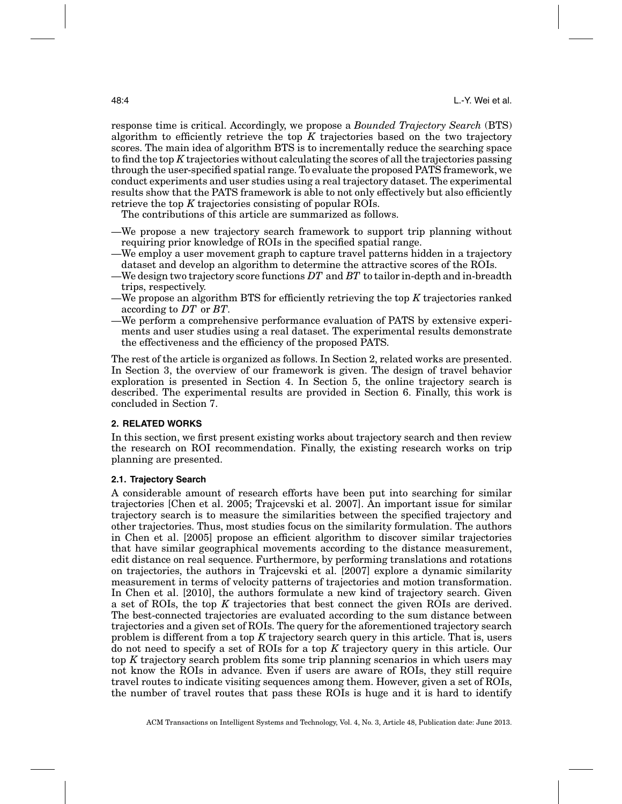response time is critical. Accordingly, we propose a *Bounded Trajectory Search* (BTS) algorithm to efficiently retrieve the top *K* trajectories based on the two trajectory scores. The main idea of algorithm BTS is to incrementally reduce the searching space to find the top *K* trajectories without calculating the scores of all the trajectories passing through the user-specified spatial range. To evaluate the proposed PATS framework, we conduct experiments and user studies using a real trajectory dataset. The experimental results show that the PATS framework is able to not only effectively but also efficiently retrieve the top *K* trajectories consisting of popular ROIs.

The contributions of this article are summarized as follows.

- —We propose a new trajectory search framework to support trip planning without requiring prior knowledge of ROIs in the specified spatial range.
- —We employ a user movement graph to capture travel patterns hidden in a trajectory dataset and develop an algorithm to determine the attractive scores of the ROIs.
- —We design two trajectory score functions *DT* and *BT* to tailor in-depth and in-breadth trips, respectively.
- —We propose an algorithm BTS for efficiently retrieving the top *K* trajectories ranked according to *DT* or *BT*.
- —We perform a comprehensive performance evaluation of PATS by extensive experiments and user studies using a real dataset. The experimental results demonstrate the effectiveness and the efficiency of the proposed PATS.

The rest of the article is organized as follows. In Section 2, related works are presented. In Section 3, the overview of our framework is given. The design of travel behavior exploration is presented in Section 4. In Section 5, the online trajectory search is described. The experimental results are provided in Section 6. Finally, this work is concluded in Section 7.

## **2. RELATED WORKS**

In this section, we first present existing works about trajectory search and then review the research on ROI recommendation. Finally, the existing research works on trip planning are presented.

### **2.1. Trajectory Search**

A considerable amount of research efforts have been put into searching for similar trajectories [Chen et al. 2005; Trajcevski et al. 2007]. An important issue for similar trajectory search is to measure the similarities between the specified trajectory and other trajectories. Thus, most studies focus on the similarity formulation. The authors in Chen et al. [2005] propose an efficient algorithm to discover similar trajectories that have similar geographical movements according to the distance measurement, edit distance on real sequence. Furthermore, by performing translations and rotations on trajectories, the authors in Trajcevski et al. [2007] explore a dynamic similarity measurement in terms of velocity patterns of trajectories and motion transformation. In Chen et al. [2010], the authors formulate a new kind of trajectory search. Given a set of ROIs, the top *K* trajectories that best connect the given ROIs are derived. The best-connected trajectories are evaluated according to the sum distance between trajectories and a given set of ROIs. The query for the aforementioned trajectory search problem is different from a top *K* trajectory search query in this article. That is, users do not need to specify a set of ROIs for a top *K* trajectory query in this article. Our top *K* trajectory search problem fits some trip planning scenarios in which users may not know the ROIs in advance. Even if users are aware of ROIs, they still require travel routes to indicate visiting sequences among them. However, given a set of ROIs, the number of travel routes that pass these ROIs is huge and it is hard to identify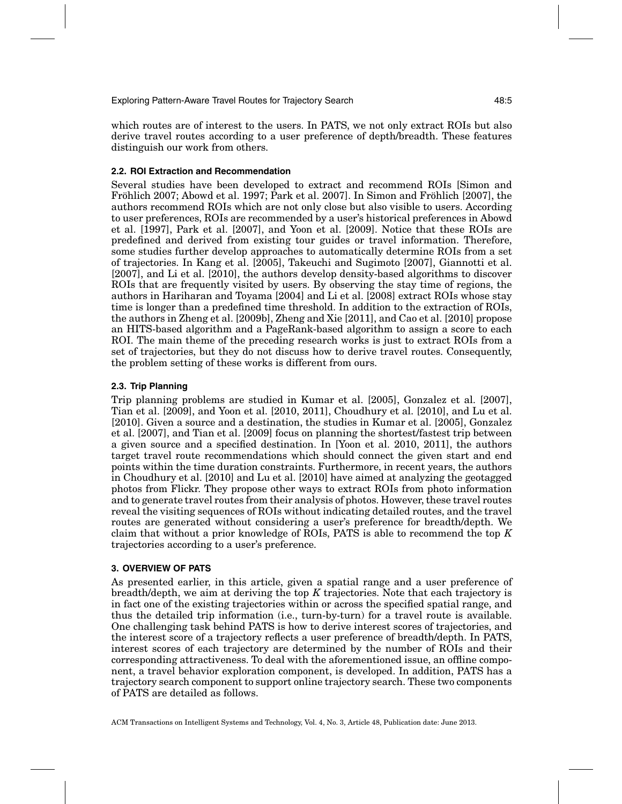which routes are of interest to the users. In PATS, we not only extract ROIs but also derive travel routes according to a user preference of depth/breadth. These features distinguish our work from others.

## **2.2. ROI Extraction and Recommendation**

Several studies have been developed to extract and recommend ROIs [Simon and Fröhlich 2007; Abowd et al. 1997; Park et al. 2007]. In Simon and Fröhlich [2007], the authors recommend ROIs which are not only close but also visible to users. According to user preferences, ROIs are recommended by a user's historical preferences in Abowd et al. [1997], Park et al. [2007], and Yoon et al. [2009]. Notice that these ROIs are predefined and derived from existing tour guides or travel information. Therefore, some studies further develop approaches to automatically determine ROIs from a set of trajectories. In Kang et al. [2005], Takeuchi and Sugimoto [2007], Giannotti et al. [2007], and Li et al. [2010], the authors develop density-based algorithms to discover ROIs that are frequently visited by users. By observing the stay time of regions, the authors in Hariharan and Toyama [2004] and Li et al. [2008] extract ROIs whose stay time is longer than a predefined time threshold. In addition to the extraction of ROIs, the authors in Zheng et al. [2009b], Zheng and Xie [2011], and Cao et al. [2010] propose an HITS-based algorithm and a PageRank-based algorithm to assign a score to each ROI. The main theme of the preceding research works is just to extract ROIs from a set of trajectories, but they do not discuss how to derive travel routes. Consequently, the problem setting of these works is different from ours.

## **2.3. Trip Planning**

Trip planning problems are studied in Kumar et al. [2005], Gonzalez et al. [2007], Tian et al. [2009], and Yoon et al. [2010, 2011], Choudhury et al. [2010], and Lu et al. [2010]. Given a source and a destination, the studies in Kumar et al. [2005], Gonzalez et al. [2007], and Tian et al. [2009] focus on planning the shortest/fastest trip between a given source and a specified destination. In [Yoon et al. 2010, 2011], the authors target travel route recommendations which should connect the given start and end points within the time duration constraints. Furthermore, in recent years, the authors in Choudhury et al. [2010] and Lu et al. [2010] have aimed at analyzing the geotagged photos from Flickr. They propose other ways to extract ROIs from photo information and to generate travel routes from their analysis of photos. However, these travel routes reveal the visiting sequences of ROIs without indicating detailed routes, and the travel routes are generated without considering a user's preference for breadth/depth. We claim that without a prior knowledge of ROIs, PATS is able to recommend the top *K* trajectories according to a user's preference.

## **3. OVERVIEW OF PATS**

As presented earlier, in this article, given a spatial range and a user preference of breadth/depth, we aim at deriving the top *K* trajectories. Note that each trajectory is in fact one of the existing trajectories within or across the specified spatial range, and thus the detailed trip information (i.e., turn-by-turn) for a travel route is available. One challenging task behind PATS is how to derive interest scores of trajectories, and the interest score of a trajectory reflects a user preference of breadth/depth. In PATS, interest scores of each trajectory are determined by the number of ROIs and their corresponding attractiveness. To deal with the aforementioned issue, an offline component, a travel behavior exploration component, is developed. In addition, PATS has a trajectory search component to support online trajectory search. These two components of PATS are detailed as follows.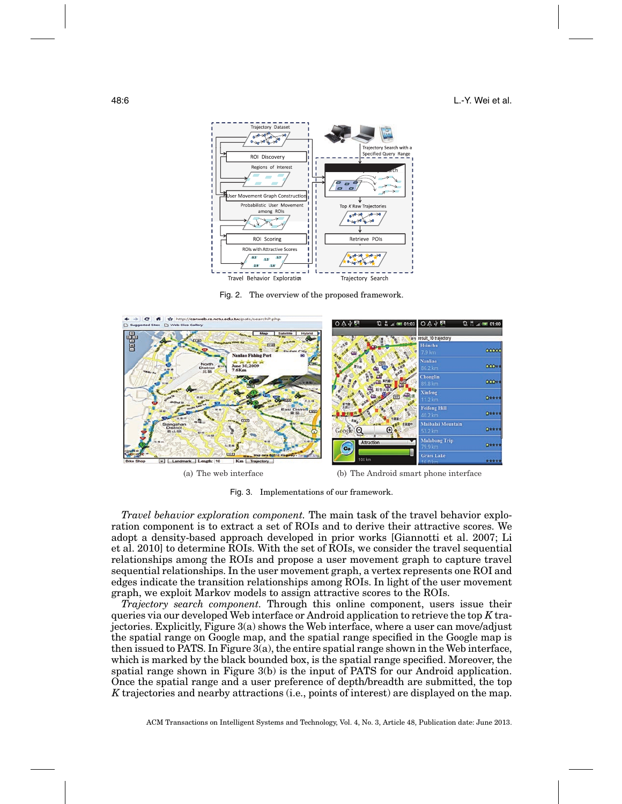

Fig. 2. The overview of the proposed framework.



(a) The web interface (b) The Android smart phone interface

Fig. 3. Implementations of our framework.

*Travel behavior exploration component.* The main task of the travel behavior exploration component is to extract a set of ROIs and to derive their attractive scores. We adopt a density-based approach developed in prior works [Giannotti et al. 2007; Li et al. 2010] to determine ROIs. With the set of ROIs, we consider the travel sequential relationships among the ROIs and propose a user movement graph to capture travel sequential relationships. In the user movement graph, a vertex represents one ROI and edges indicate the transition relationships among ROIs. In light of the user movement graph, we exploit Markov models to assign attractive scores to the ROIs.

*Trajectory search component.* Through this online component, users issue their queries via our developed Web interface or Android application to retrieve the top *K* trajectories. Explicitly, Figure 3(a) shows the Web interface, where a user can move/adjust the spatial range on Google map, and the spatial range specified in the Google map is then issued to PATS. In Figure 3(a), the entire spatial range shown in the Web interface, which is marked by the black bounded box, is the spatial range specified. Moreover, the spatial range shown in Figure 3(b) is the input of PATS for our Android application. Once the spatial range and a user preference of depth/breadth are submitted, the top *K* trajectories and nearby attractions (i.e., points of interest) are displayed on the map.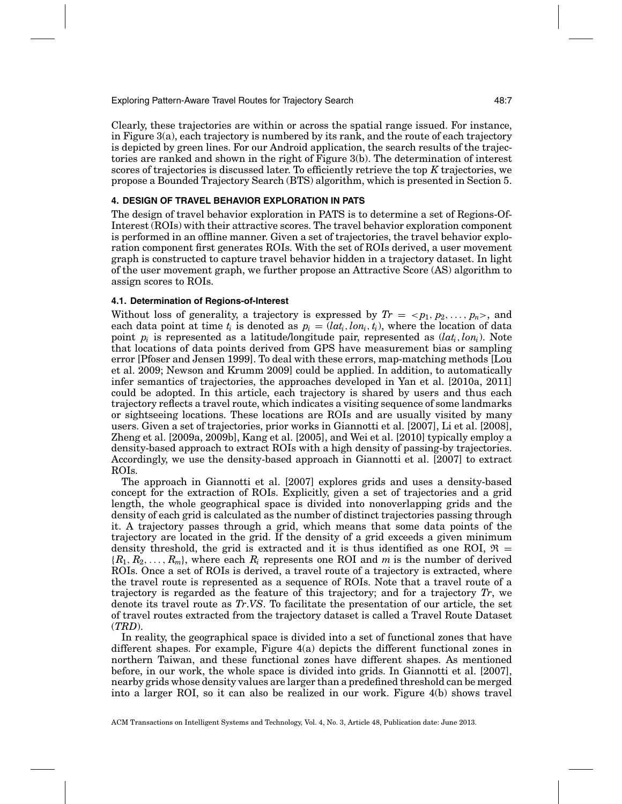Exploring Pattern-Aware Travel Routes for Trajectory Search 48:7

Clearly, these trajectories are within or across the spatial range issued. For instance, in Figure 3(a), each trajectory is numbered by its rank, and the route of each trajectory is depicted by green lines. For our Android application, the search results of the trajectories are ranked and shown in the right of Figure 3(b). The determination of interest scores of trajectories is discussed later. To efficiently retrieve the top *K* trajectories, we propose a Bounded Trajectory Search (BTS) algorithm, which is presented in Section 5.

## **4. DESIGN OF TRAVEL BEHAVIOR EXPLORATION IN PATS**

The design of travel behavior exploration in PATS is to determine a set of Regions-Of-Interest (ROIs) with their attractive scores. The travel behavior exploration component is performed in an offline manner. Given a set of trajectories, the travel behavior exploration component first generates ROIs. With the set of ROIs derived, a user movement graph is constructed to capture travel behavior hidden in a trajectory dataset. In light of the user movement graph, we further propose an Attractive Score (AS) algorithm to assign scores to ROIs.

### **4.1. Determination of Regions-of-Interest**

Without loss of generality, a trajectory is expressed by  $Tr = \langle p_1, p_2, \ldots, p_n \rangle$ , and each data point at time  $t_i$  is denoted as  $p_i = (lat_i, lon_i, t_i)$ , where the location of data point  $p_i$  is represented as a latitude/longitude pair, represented as  $(lat_i,lon_i)$ . Note that locations of data points derived from GPS have measurement bias or sampling error [Pfoser and Jensen 1999]. To deal with these errors, map-matching methods [Lou et al. 2009; Newson and Krumm 2009] could be applied. In addition, to automatically infer semantics of trajectories, the approaches developed in Yan et al. [2010a, 2011] could be adopted. In this article, each trajectory is shared by users and thus each trajectory reflects a travel route, which indicates a visiting sequence of some landmarks or sightseeing locations. These locations are ROIs and are usually visited by many users. Given a set of trajectories, prior works in Giannotti et al. [2007], Li et al. [2008], Zheng et al. [2009a, 2009b], Kang et al. [2005], and Wei et al. [2010] typically employ a density-based approach to extract ROIs with a high density of passing-by trajectories. Accordingly, we use the density-based approach in Giannotti et al. [2007] to extract ROIs.

The approach in Giannotti et al. [2007] explores grids and uses a density-based concept for the extraction of ROIs. Explicitly, given a set of trajectories and a grid length, the whole geographical space is divided into nonoverlapping grids and the density of each grid is calculated as the number of distinct trajectories passing through it. A trajectory passes through a grid, which means that some data points of the trajectory are located in the grid. If the density of a grid exceeds a given minimum density threshold, the grid is extracted and it is thus identified as one ROI,  $\mathfrak{R} =$ {*R*1, *R*2,..., *Rm*}, where each *Ri* represents one ROI and *m* is the number of derived ROIs. Once a set of ROIs is derived, a travel route of a trajectory is extracted, where the travel route is represented as a sequence of ROIs. Note that a travel route of a trajectory is regarded as the feature of this trajectory; and for a trajectory *Tr*, we denote its travel route as *Tr*.*VS*. To facilitate the presentation of our article, the set of travel routes extracted from the trajectory dataset is called a Travel Route Dataset (*TRD*).

In reality, the geographical space is divided into a set of functional zones that have different shapes. For example, Figure 4(a) depicts the different functional zones in northern Taiwan, and these functional zones have different shapes. As mentioned before, in our work, the whole space is divided into grids. In Giannotti et al. [2007], nearby grids whose density values are larger than a predefined threshold can be merged into a larger ROI, so it can also be realized in our work. Figure 4(b) shows travel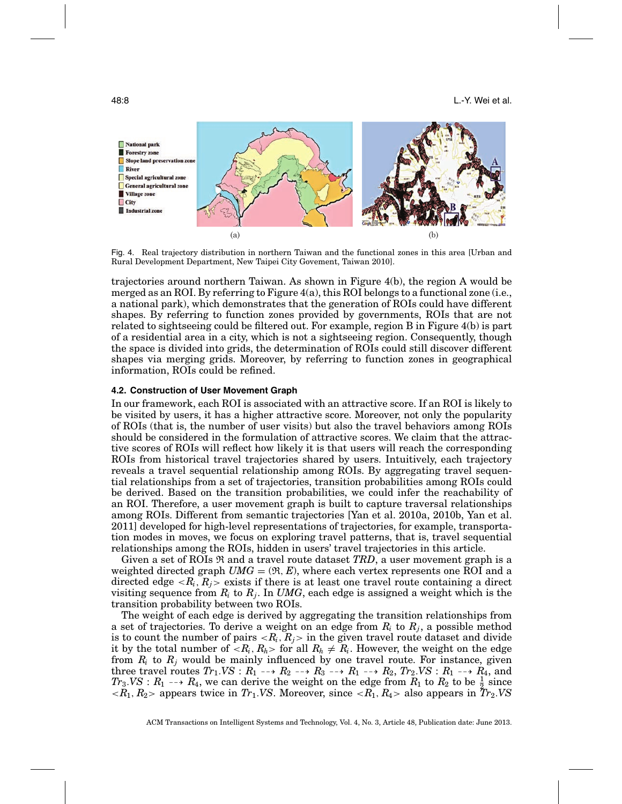

Fig. 4. Real trajectory distribution in northern Taiwan and the functional zones in this area [Urban and Rural Development Department, New Taipei City Govement, Taiwan 2010].

trajectories around northern Taiwan. As shown in Figure 4(b), the region A would be merged as an ROI. By referring to Figure 4(a), this ROI belongs to a functional zone (i.e., a national park), which demonstrates that the generation of ROIs could have different shapes. By referring to function zones provided by governments, ROIs that are not related to sightseeing could be filtered out. For example, region B in Figure 4(b) is part of a residential area in a city, which is not a sightseeing region. Consequently, though the space is divided into grids, the determination of ROIs could still discover different shapes via merging grids. Moreover, by referring to function zones in geographical information, ROIs could be refined.

#### **4.2. Construction of User Movement Graph**

In our framework, each ROI is associated with an attractive score. If an ROI is likely to be visited by users, it has a higher attractive score. Moreover, not only the popularity of ROIs (that is, the number of user visits) but also the travel behaviors among ROIs should be considered in the formulation of attractive scores. We claim that the attractive scores of ROIs will reflect how likely it is that users will reach the corresponding ROIs from historical travel trajectories shared by users. Intuitively, each trajectory reveals a travel sequential relationship among ROIs. By aggregating travel sequential relationships from a set of trajectories, transition probabilities among ROIs could be derived. Based on the transition probabilities, we could infer the reachability of an ROI. Therefore, a user movement graph is built to capture traversal relationships among ROIs. Different from semantic trajectories [Yan et al. 2010a, 2010b, Yan et al. 2011] developed for high-level representations of trajectories, for example, transportation modes in moves, we focus on exploring travel patterns, that is, travel sequential relationships among the ROIs, hidden in users' travel trajectories in this article.

Given a set of ROIs  $\Re$  and a travel route dataset *TRD*, a user movement graph is a weighted directed graph  $UMG = (\mathfrak{R}, E)$ , where each vertex represents one ROI and a directed edge  $\langle R_i, R_j \rangle$  exists if there is at least one travel route containing a direct visiting sequence from  $R_i$  to  $R_j$ . In *UMG*, each edge is assigned a weight which is the transition probability between two ROIs.

The weight of each edge is derived by aggregating the transition relationships from a set of trajectories. To derive a weight on an edge from  $R_i$  to  $R_j$ , a possible method is to count the number of pairs  $\langle R_i, R_j \rangle$  in the given travel route dataset and divide it by the total number of  $\langle R_i, R_h \rangle$  for all  $R_h \neq R_i$ . However, the weight on the edge from  $R_i$  to  $R_j$  would be mainly influenced by one travel route. For instance, given three travel routes  $Tr_1.VS:R_1\dashrightarrow R_2\dashrightarrow R_3\dashrightarrow R_1\dashrightarrow R_2, Tr_2.VS:R_1\dashrightarrow R_4,$  and  $Tr_3.VS$ :  $R_1 \longrightarrow R_4$ , we can derive the weight on the edge from  $R_1$  to  $R_2$  to be  $\frac{1}{2}$  since  $\langle R_1, R_2 \rangle$  appears twice in *Tr*<sub>1</sub>.*VS*. Moreover, since  $\langle R_1, R_4 \rangle$  also appears in *Tr*<sub>2</sub>.*VS*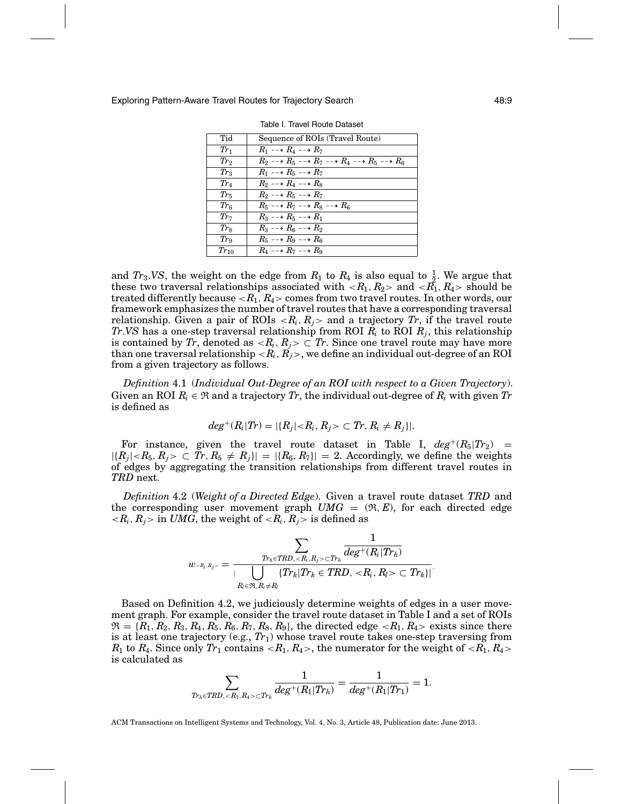| Tid             | Sequence of ROIs (Travel Route)                                                                           |
|-----------------|-----------------------------------------------------------------------------------------------------------|
| $Tr_1$          | $R_1 \dashrightarrow R_4 \dashrightarrow R_7$                                                             |
| $Tr_2$          | $R_2 \dashrightarrow R_5 \dashrightarrow R_7 \dashrightarrow R_4 \dashrightarrow R_5 \dashrightarrow R_6$ |
| $Tr_3$          | $R_1 \dashrightarrow R_5 \dashrightarrow R_7$                                                             |
| $Tr_4$          | $R_2 \dashrightarrow R_4 \dashrightarrow R_8$                                                             |
| $Tr_5$          | $R_2 \dashrightarrow R_5 \dashrightarrow R_7$                                                             |
| $Tr_{6}$        | $R_5 \dashrightarrow R_7 \dashrightarrow R_8 \dashrightarrow R_6$                                         |
| $Tr_7$          | $R_3 \dashrightarrow R_5 \dashrightarrow R_1$                                                             |
| $Tr_{8}$        | $R_3 \dashrightarrow R_6 \dashrightarrow R_2$                                                             |
| Tr <sub>9</sub> | $R_5 \dashrightarrow R_9 \dashrightarrow R_6$                                                             |
| $Tr_{10}$       | $R_4 \dashrightarrow R_7 \dashrightarrow R_9$                                                             |

Table I. Travel Route Dataset

and  $Tr_3.VS$ , the weight on the edge from  $R_1$  to  $R_4$  is also equal to  $\frac{1}{2}$ . We argue that these two traversal relationships associated with  $\langle R_1, R_2 \rangle$  and  $\langle R_1, R_4 \rangle$  should be treated differently because <*R*1, *R*4> comes from two travel routes. In other words, our framework emphasizes the number of travel routes that have a corresponding traversal relationship. Given a pair of ROIs  $\langle R_i, R_j \rangle$  and a trajectory Tr, if the travel route *Tr*.*VS* has a one-step traversal relationship from ROI *Ri* to ROI *Rj*, this relationship is contained by *Tr*, denoted as  $\langle R_i, R_j \rangle \subset T_r$ . Since one travel route may have more than one traversal relationship  $\langle R_i, R_j \rangle$ , we define an individual out-degree of an ROI from a given trajectory as follows.

*Definition* 4.1 (*Individual Out-Degree of an ROI with respect to a Given Trajectory*). Given an ROI  $R_i \in \mathfrak{R}$  and a trajectory  $Tr$ , the individual out-degree of  $R_i$  with given  $Tr$ is defined as

$$
deg^{+}(R_i|Tr) = |\{R_j| < R_i, R_j > \subset Tr, R_i \neq R_j\}|.
$$

For instance, given the travel route dataset in Table I,  $deg^+(R_5|Tr_2)$  =  $|\{R_j| < R_5, R_j > \subset Tr, R_5 \neq R_j\}| = |\{R_6, R_7\}| = 2$ . Accordingly, we define the weights of edges by aggregating the transition relationships from different travel routes in *TRD* next.

*Definition* 4.2 (*Weight of a Directed Edge*). Given a travel route dataset *TRD* and the corresponding user movement graph  $UMG = (\mathfrak{R}, E)$ , for each directed edge  $\langle R_i, R_j \rangle$  in *UMG*, the weight of  $\langle R_i, R_j \rangle$  is defined as

$$
w_{\scriptscriptstyle } = \frac{\displaystyle \sum_{\substack{Tr_h \in TRD,  \subset Tr_h \\ |V| \leq Pr_h \in TRD,}} \frac{1}{deg^+(R_i|Tr_h)} }{\left| \displaystyle \bigcup_{R_l \in \mathfrak{R}, R_i \neq R_l} \{Tr_k | Tr_k \in TRD,  \subset Tr_k \} \right|}.
$$

Based on Definition 4.2, we judiciously determine weights of edges in a user movement graph. For example, consider the travel route dataset in Table I and a set of ROIs  $\mathfrak{R} = \{R_1, R_2, R_3, R_4, R_5, R_6, R_7, R_8, R_9\}$ , the directed edge  $\langle R_1, R_4 \rangle$  exists since there is at least one trajectory (e.g.,  $Tr_1$ ) whose travel route takes one-step traversing from  $R_1$  to  $R_4$ . Since only  $Tr_1$  contains  $\langle R_1, R_4 \rangle$ , the numerator for the weight of  $\langle R_1, R_4 \rangle$ is calculated as

$$
\sum_{\mathit{Tr}_h \in \mathit{TRD}, \  \sub{\mathit{Tr}_h}} \frac{1}{deg^+(R_1 | \mathit{Tr}_h)} = \frac{1}{deg^+(R_1 | \mathit{Tr}_1)} = 1.
$$

ACM Transactions on Intelligent Systems and Technology, Vol. 4, No. 3, Article 48, Publication date: June 2013.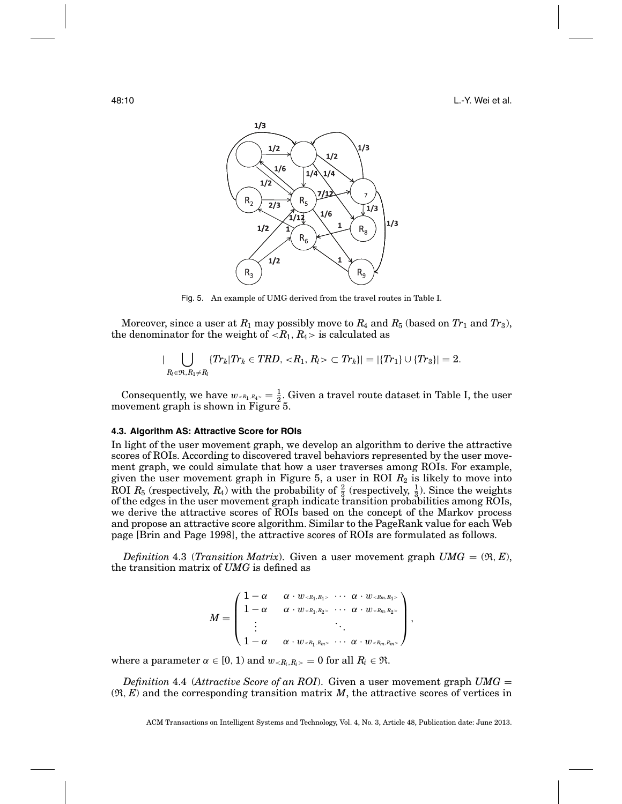

Fig. 5. An example of UMG derived from the travel routes in Table I.

Moreover, since a user at  $R_1$  may possibly move to  $R_4$  and  $R_5$  (based on  $Tr_1$  and  $Tr_3$ ), the denominator for the weight of  $\langle R_1, R_4 \rangle$  is calculated as

$$
|\bigcup_{R_l\in\mathfrak{R}, R_1\neq R_l} \{Tr_k|Tr_k\in TRD,\langle R_1,R_l\rangle\subset Tr_k\}|=|\{Tr_1\}\cup\{Tr_3\}|=2.
$$

Consequently, we have  $w_{\leq R_1, R_4>} = \frac{1}{2}$ . Given a travel route dataset in Table I, the user movement graph is shown in Figure 5.

### **4.3. Algorithm AS: Attractive Score for ROIs**

In light of the user movement graph, we develop an algorithm to derive the attractive scores of ROIs. According to discovered travel behaviors represented by the user movement graph, we could simulate that how a user traverses among ROIs. For example, given the user movement graph in Figure  $5$ , a user in ROI  $R_2$  is likely to move into ROI  $R_5$  (respectively,  $R_4$ ) with the probability of  $\frac{2}{3}$  (respectively,  $\frac{1}{3}$ ). Since the weights of the edges in the user movement graph indicate transition probabilities among ROIs, we derive the attractive scores of ROIs based on the concept of the Markov process and propose an attractive score algorithm. Similar to the PageRank value for each Web page [Brin and Page 1998], the attractive scores of ROIs are formulated as follows.

*Definition* 4.3 (*Transition Matrix*). Given a user movement graph  $UMG = (\Re, E)$ , the transition matrix of *UMG* is defined as

$$
M=\left(\begin{smallmatrix} 1-\alpha & \alpha\cdot w_{\scriptscriptstyle{}} & \cdots & \alpha\cdot w_{\scriptscriptstyle{}}\\ 1-\alpha & \alpha\cdot w_{\scriptscriptstyle{}} & \cdots & \alpha\cdot w_{\scriptscriptstyle{}}\\ \vdots & & & \ddots & \\ 1-\alpha & \alpha\cdot w_{\scriptscriptstyle{}} & \cdots & \alpha\cdot w_{\scriptscriptstyle{}} \end{smallmatrix}\right),
$$

where a parameter  $\alpha \in [0, 1)$  and  $w_{\leq R_i, R_i>} = 0$  for all  $R_i \in \mathfrak{R}$ .

*Definition* 4.4 (*Attractive Score of an ROI*). Given a user movement graph *UMG* =  $(\mathfrak{R}, E)$  and the corresponding transition matrix  $M$ , the attractive scores of vertices in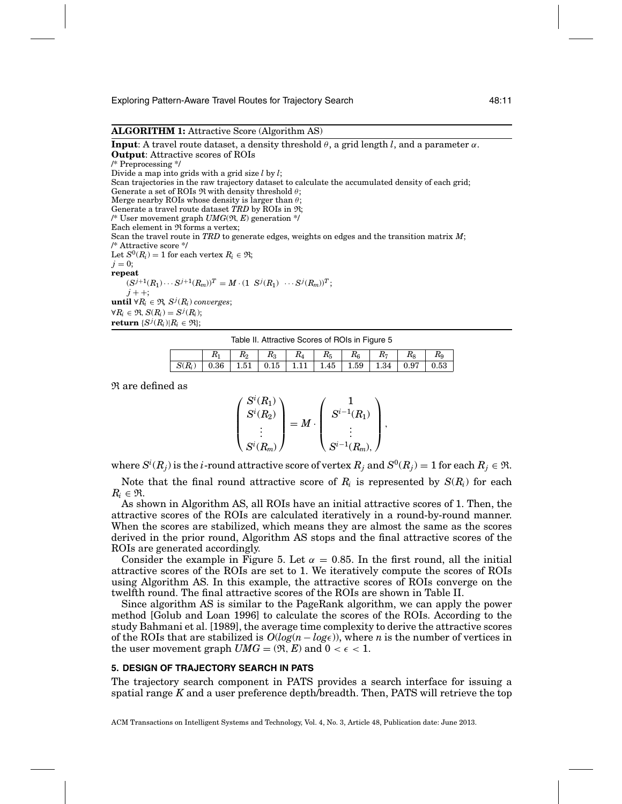### **ALGORITHM 1:** Attractive Score (Algorithm AS)

**Input:** A travel route dataset, a density threshold  $\theta$ , a grid length *l*, and a parameter  $\alpha$ . **Output**: Attractive scores of ROIs /\* Preprocessing \*/ Divide a map into grids with a grid size *l* by *l*;

Scan trajectories in the raw trajectory dataset to calculate the accumulated density of each grid; Generate a set of ROIs  $\Re$  with density threshold  $\theta$ ;

Merge nearby ROIs whose density is larger than  $\theta$ ;

Generate a travel route dataset *TRD* by ROIs in R;

/\* User movement graph *UMG*(R, *E*) generation \*/

Each element in  $Re$  forms a vertex;

Scan the travel route in *TRD* to generate edges, weights on edges and the transition matrix *M*; /\* Attractive score \*/

Let  $S^0(R_i) = 1$  for each vertex  $R_i \in \mathfrak{R}$ ;  $j = 0$ : **repeat**  $(S^{j+1}(R_1) \cdots S^{j+1}(R_m))^T = M \cdot (1 \ S^{j}(R_1) \ \cdots S^{j}(R_m))^T;$ *j* + +;

 $\textbf{until} \ \forall R_i \in \mathfrak{R}, \ S^j(R_i) \ converges;$  $\forall R_i \in \mathfrak{R}, S(R_i) = S^j(R_i);$ 

 $\textbf{return } \{S^j(R_i)| R_i \in \mathfrak{R}\};$ 

Table II. Attractive Scores of ROIs in Figure 5

|          | T0 | $R_3$ | $R_4$ | $R_5$                                                         | $R_{\rm g}$ | $R_7$ | $R_{\rm s}$ | $R_{\rm c}$ |
|----------|----|-------|-------|---------------------------------------------------------------|-------------|-------|-------------|-------------|
| $S(R_i)$ |    |       |       | $0.36$   1.51   $0.15$   1.11   1.45   1.59   1.34   0.97   1 |             |       |             | 0.53        |

R are defined as

$$
\left(\begin{aligned} S^i(R_1)\\ S^i(R_2)\\ \vdots\\ S^i(R_m) \end{aligned}\right)=M\cdot \left(\begin{aligned} 1\\ S^{i-1}(R_1)\\ \vdots\\ S^{i-1}(R_m), \end{aligned}\right),
$$

where  $S^i(R_j)$  is the  $i$ -round attractive score of vertex  $R_j$  and  $S^0(R_j)=1$  for each  $R_j\in \mathfrak{R}.$ 

Note that the final round attractive score of  $R_i$  is represented by  $S(R_i)$  for each  $R_i \in \mathfrak{R}$ .

As shown in Algorithm AS, all ROIs have an initial attractive scores of 1. Then, the attractive scores of the ROIs are calculated iteratively in a round-by-round manner. When the scores are stabilized, which means they are almost the same as the scores derived in the prior round, Algorithm AS stops and the final attractive scores of the ROIs are generated accordingly.

Consider the example in Figure 5. Let  $\alpha = 0.85$ . In the first round, all the initial attractive scores of the ROIs are set to 1. We iteratively compute the scores of ROIs using Algorithm AS. In this example, the attractive scores of ROIs converge on the twelfth round. The final attractive scores of the ROIs are shown in Table II.

Since algorithm AS is similar to the PageRank algorithm, we can apply the power method [Golub and Loan 1996] to calculate the scores of the ROIs. According to the study Bahmani et al. [1989], the average time complexity to derive the attractive scores of the ROIs that are stabilized is  $O(log(n - log \epsilon))$ , where *n* is the number of vertices in the user movement graph  $UMG = (\mathfrak{R}, E)$  and  $0 < \epsilon < 1$ .

#### **5. DESIGN OF TRAJECTORY SEARCH IN PATS**

The trajectory search component in PATS provides a search interface for issuing a spatial range *K* and a user preference depth/breadth. Then, PATS will retrieve the top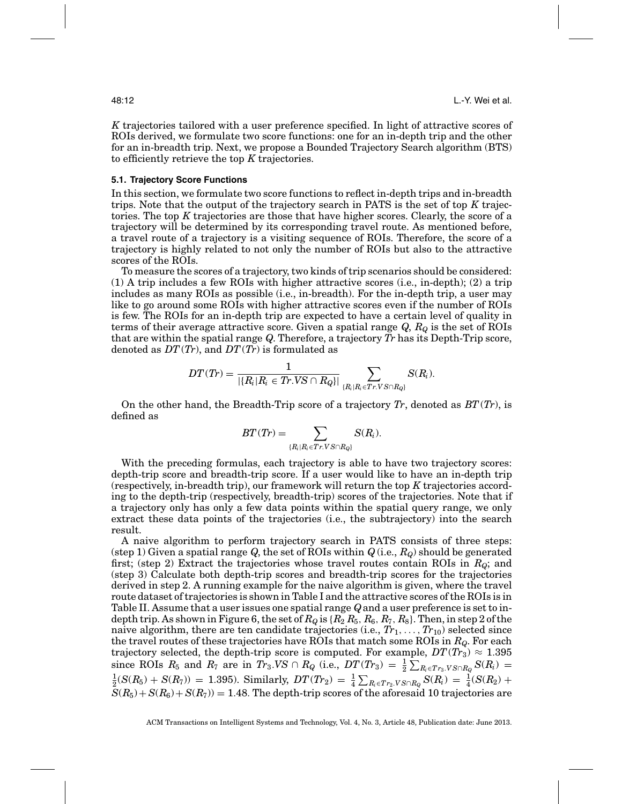*K* trajectories tailored with a user preference specified. In light of attractive scores of ROIs derived, we formulate two score functions: one for an in-depth trip and the other for an in-breadth trip. Next, we propose a Bounded Trajectory Search algorithm (BTS) to efficiently retrieve the top *K* trajectories.

#### **5.1. Trajectory Score Functions**

In this section, we formulate two score functions to reflect in-depth trips and in-breadth trips. Note that the output of the trajectory search in PATS is the set of top *K* trajectories. The top *K* trajectories are those that have higher scores. Clearly, the score of a trajectory will be determined by its corresponding travel route. As mentioned before, a travel route of a trajectory is a visiting sequence of ROIs. Therefore, the score of a trajectory is highly related to not only the number of ROIs but also to the attractive scores of the ROIs.

To measure the scores of a trajectory, two kinds of trip scenarios should be considered: (1) A trip includes a few ROIs with higher attractive scores (i.e., in-depth); (2) a trip includes as many ROIs as possible (i.e., in-breadth). For the in-depth trip, a user may like to go around some ROIs with higher attractive scores even if the number of ROIs is few. The ROIs for an in-depth trip are expected to have a certain level of quality in terms of their average attractive score. Given a spatial range *Q*, *RQ* is the set of ROIs that are within the spatial range *Q*. Therefore, a trajectory *Tr* has its Depth-Trip score, denoted as *DT*(*Tr*), and *DT*(*Tr*) is formulated as

$$
DT(Tr)=\frac{1}{|\{R_i | R_i \in Tr.VS \cap R_Q \}|}\sum_{\{R_i | R_i \in Tr.VS \cap R_Q \}} S(R_i).
$$

On the other hand, the Breadth-Trip score of a trajectory *Tr*, denoted as *BT*(*Tr*), is defined as

$$
BT(Tr)=\sum_{\{R_i|R_i\in Tr.VS\cap R_Q\}}S(R_i).
$$

With the preceding formulas, each trajectory is able to have two trajectory scores: depth-trip score and breadth-trip score. If a user would like to have an in-depth trip (respectively, in-breadth trip), our framework will return the top *K* trajectories according to the depth-trip (respectively, breadth-trip) scores of the trajectories. Note that if a trajectory only has only a few data points within the spatial query range, we only extract these data points of the trajectories (i.e., the subtrajectory) into the search result.

A naive algorithm to perform trajectory search in PATS consists of three steps: (step 1) Given a spatial range  $Q$ , the set of ROIs within  $Q$  (i.e.,  $R_Q$ ) should be generated first; (step 2) Extract the trajectories whose travel routes contain ROIs in *RQ*; and (step 3) Calculate both depth-trip scores and breadth-trip scores for the trajectories derived in step 2. A running example for the naive algorithm is given, where the travel route dataset of trajectories is shown in Table I and the attractive scores of the ROIs is in Table II. Assume that a user issues one spatial range *Q*and a user preference is set to indepth trip. As shown in Figure 6, the set of  $R_Q$  is  $\{R_2 R_5, R_6, R_7, R_8\}$ . Then, in step 2 of the naive algorithm, there are ten candidate trajectories (i.e., *Tr*1,...,*Tr*10) selected since the travel routes of these trajectories have ROIs that match some ROIs in *RQ*. For each trajectory selected, the depth-trip score is computed. For example,  $DT(Tr_3) \approx 1.395$  $S$  and  $R_7$  are in  $Tr_3.VS \cap R_Q$  (i.e.,  $DT(Tr_3) = \frac{1}{2} \sum_{R_i \in Tr_3.VS \cap R_Q} S(R_i) =$  $\frac{1}{2}(S(R_5) + S(R_7)) = 1.395$ . Similarly,  $DT(Tr_2) = \frac{1}{4}\sum_{R_i \in Tr_2.VS \cap R_Q} S(R_i) = \frac{1}{4}(S(R_2) +$  $S(R_5) + S(R_6) + S(R_7) = 1.48$ . The depth-trip scores of the aforesaid 10 trajectories are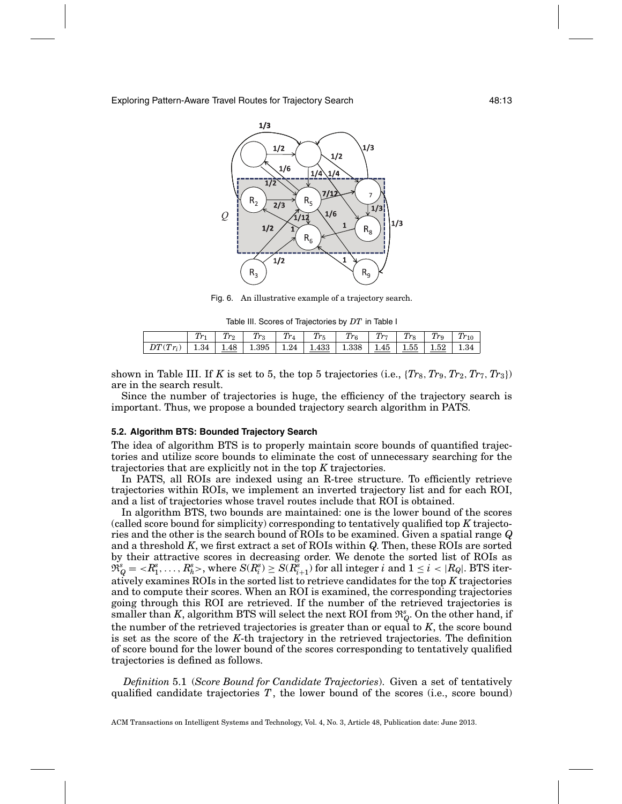

Fig. 6. An illustrative example of a trajectory search.

Table III. Scores of Trajectories by *DT* in Table I

|            |  | $Tr_3$                                                   | $Tr_4$ | $Tr_5$ | $Tr_{6}$ | $Tr_7$ | Tr <sub>8</sub> | $T_{T\alpha}$ | $\tau_{r_{10}}$ |
|------------|--|----------------------------------------------------------|--------|--------|----------|--------|-----------------|---------------|-----------------|
| $DT(Tr_i)$ |  | 1.34   1.48   1.395   1.24   1.433   1.338   1.45   1.55 |        |        |          |        |                 | $1.52$ 1.34   |                 |

shown in Table III. If *K* is set to 5, the top 5 trajectories (i.e.,  $\{Tr_8, Tr_9, Tr_2, Tr_7, Tr_3\}$ ) are in the search result.

Since the number of trajectories is huge, the efficiency of the trajectory search is important. Thus, we propose a bounded trajectory search algorithm in PATS.

#### **5.2. Algorithm BTS: Bounded Trajectory Search**

The idea of algorithm BTS is to properly maintain score bounds of quantified trajectories and utilize score bounds to eliminate the cost of unnecessary searching for the trajectories that are explicitly not in the top *K* trajectories.

In PATS, all ROIs are indexed using an R-tree structure. To efficiently retrieve trajectories within ROIs, we implement an inverted trajectory list and for each ROI, and a list of trajectories whose travel routes include that ROI is obtained.

In algorithm BTS, two bounds are maintained: one is the lower bound of the scores (called score bound for simplicity) corresponding to tentatively qualified top *K* trajectories and the other is the search bound of ROIs to be examined. Given a spatial range *Q* and a threshold *K*, we first extract a set of ROIs within *Q*. Then, these ROIs are sorted by their attractive scores in decreasing order. We denote the sorted list of ROIs as  $\mathfrak{R}^s_Q = \langle R^s_1,\ldots,R^s_h \rangle, \text{ where } S(R^s_i) \geq S(R^s_{i+1}) \text{ for all integer } i \text{ and } 1 \leq i < |R_Q|. \text{ BTS iter-}$ atively examines ROIs in the sorted list to retrieve candidates for the top *K* trajectories and to compute their scores. When an ROI is examined, the corresponding trajectories going through this ROI are retrieved. If the number of the retrieved trajectories is smaller than *K*, algorithm BTS will select the next ROI from  $\mathfrak{R}_{Q}^s$ . On the other hand, if the number of the retrieved trajectories is greater than or equal to *K*, the score bound is set as the score of the *K*-th trajectory in the retrieved trajectories. The definition of score bound for the lower bound of the scores corresponding to tentatively qualified trajectories is defined as follows.

*Definition* 5.1 (*Score Bound for Candidate Trajectories*). Given a set of tentatively qualified candidate trajectories *T*, the lower bound of the scores (i.e., score bound)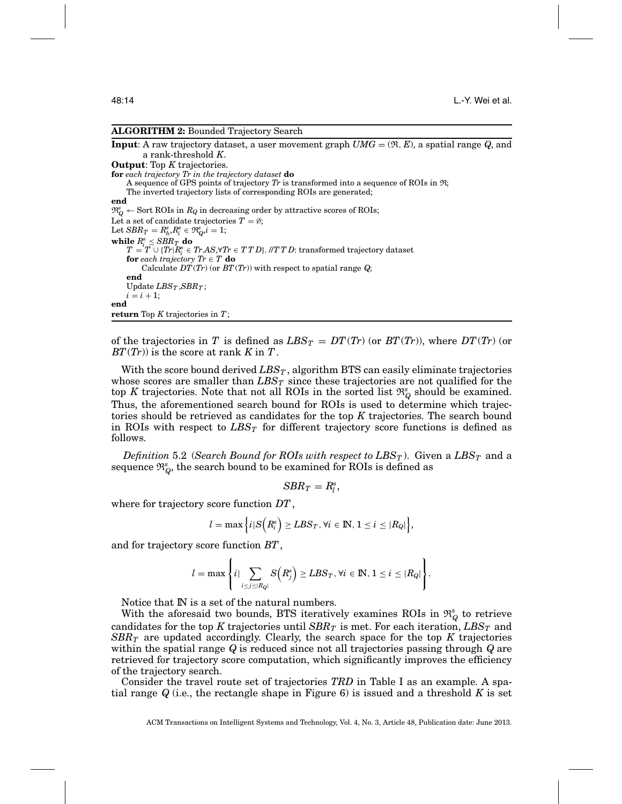#### **ALGORITHM 2:** Bounded Trajectory Search

**Input**: A raw trajectory dataset, a user movement graph *UMG* = (R, *E*), a spatial range *Q*, and a rank-threshold *K*.

**Output**: Top *K* trajectories. **for** *each trajectory Tr in the trajectory dataset* **do** A sequence of GPS points of trajectory  $Tr$  is transformed into a sequence of ROIs in  $\mathfrak{R}$ ;

The inverted trajectory lists of corresponding ROIs are generated;

**end**

 $\mathfrak{R}_{Q}^{s} \leftarrow$  Sort ROIs in  $R_{Q}$  in decreasing order by attractive scores of ROIs;

Let a set of candidate trajectories  $T = \emptyset$ ;

 $\text{Let } SBR_T = R_h^s, R_i^s \in \mathfrak{R}_Q^s, i=1;$ 

 $\mathbf{while}$   $R_i^s \leq SBR_T$  **do**<br>  $T = T \cup \{Tr|R_i^s \in TrAS, \forall Tr \in TTD\}$ . // $T \, T \, D$ : transformed trajectory dataset **for** *each trajectory*  $Tr \in T$  **do** 

Calculate *DT*(*Tr*) (or *BT*(*Tr*)) with respect to spatial range *Q*; **end**

Update  $LBS_T$ ,  $SBR_T$ ;  $i = i + 1;$ **end**

return Top 
$$
K
$$
 trajectories in  $T$ ;

of the trajectories in *T* is defined as  $LBS_T = DT(Tr)$  (or  $BT(Tr)$ ), where  $DT(Tr)$  (or *BT*(*Tr*)) is the score at rank *K* in *T*.

With the score bound derived  $LBS_T$ , algorithm BTS can easily eliminate trajectories whose scores are smaller than  $LBS_T$  since these trajectories are not qualified for the top *K* trajectories. Note that not all ROIs in the sorted list  $\mathfrak{R}^s_Q$  should be examined. Thus, the aforementioned search bound for ROIs is used to determine which trajectories should be retrieved as candidates for the top *K* trajectories. The search bound in ROIs with respect to  $LBS_T$  for different trajectory score functions is defined as follows.

*Definition* 5.2 (*Search Bound for ROIs with respect to*  $LBS_T$ *). Given a*  $LBS_T$  *and a* sequence  $\mathfrak{R}^s_Q$ , the search bound to be examined for ROIs is defined as

$$
SBR_T=R_l^s,
$$

where for trajectory score function *DT*,

$$
l = \max\Big\{i|S\Big(R_i^s\Big) \geq LBS_T, \forall i \in \mathbb{N}, 1 \leq i \leq |R_Q|\Big\},\
$$

and for trajectory score function *BT*,

$$
l = \max \left\{ i \mid \sum_{i \leq j \leq |R_Q|} S\left(R_j^s\right) \geq LBS_T, \forall i \in \mathbb{N}, 1 \leq i \leq |R_Q| \right\}.
$$

Notice that IN is a set of the natural numbers.

With the aforesaid two bounds, BTS iteratively examines ROIs in  $\mathfrak{R}_Q^s$  to retrieve candidates for the top *K* trajectories until  $SBR_T$  is met. For each iteration,  $LBS_T$  and *SBRT* are updated accordingly. Clearly, the search space for the top *K* trajectories within the spatial range *Q* is reduced since not all trajectories passing through *Q* are retrieved for trajectory score computation, which significantly improves the efficiency of the trajectory search.

Consider the travel route set of trajectories *TRD* in Table I as an example. A spatial range *Q* (i.e., the rectangle shape in Figure 6) is issued and a threshold *K* is set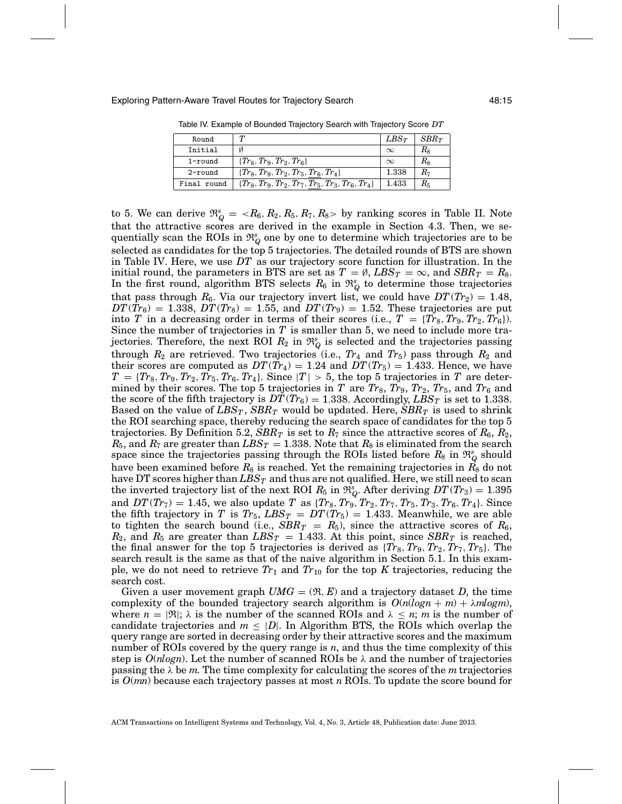Exploring Pattern-Aware Travel Routes for Trajectory Search 48:15

| Round       |                                                      | $LBS_T$  | $SBR_T$          |
|-------------|------------------------------------------------------|----------|------------------|
| Initial     | Ø                                                    | $\infty$ | $R_8$            |
| $1$ -round  | $\{Tr_8, Tr_9, Tr_2, Tr_6\}$                         | $\infty$ | $R_8$            |
| $2$ -round  | $\{Tr_8, Tr_9, Tr_2, Tr_5, Tr_6, Tr_4\}$             | 1.338    | $R_{\mathrm{7}}$ |
| Final round | $\{Tr_8, Tr_9, Tr_2, Tr_7, Tr_5, Tr_3, Tr_6, Tr_4\}$ | 1.433    | $R_{\rm 5}$      |

Table IV. Example of Bounded Trajectory Search with Trajectory Score *DT*

to 5. We can derive  $\mathfrak{R}_{Q}^{s} = \langle R_6, R_2, R_5, R_7, R_8 \rangle$  by ranking scores in Table II. Note that the attractive scores are derived in the example in Section 4.3. Then, we sequentially scan the ROIs in  $\mathfrak{R}^s_Q$  one by one to determine which trajectories are to be selected as candidates for the top 5 trajectories. The detailed rounds of BTS are shown in Table IV. Here, we use *DT* as our trajectory score function for illustration. In the initial round, the parameters in BTS are set as  $T = \emptyset$ ,  $LBS_T = \infty$ , and  $SBR_T = R_8$ . In the first round, algorithm BTS selects  $R_6$  in  $\mathfrak{R}_Q^s$  to determine those trajectories that pass through  $R_6$ . Via our trajectory invert list, we could have  $DT(T_{2}) = 1.48$ ,  $DT(\bar{T}r_6) = 1.338$ ,  $DT(Tr_8) = 1.55$ , and  $DT(Tr_9) = 1.52$ . These trajectories are put into *T* in a decreasing order in terms of their scores (i.e.,  $T = \{Tr_8, Tr_9, Tr_2, Tr_6\}$ ). Since the number of trajectories in *T* is smaller than 5, we need to include more trajectories. Therefore, the next ROI  $R_2$  in  $\mathfrak{R}_Q^s$  is selected and the trajectories passing through  $R_2$  are retrieved. Two trajectories (i.e.,  $Tr_4$  and  $Tr_5$ ) pass through  $R_2$  and their scores are computed as  $DT(Tr_4) = 1.24$  and  $DT(Tr_5) = 1.433$ . Hence, we have  $T = \{Tr_8, Tr_9, Tr_2, Tr_5, Tr_6, Tr_4\}$ . Since  $|T| > 5$ , the top 5 trajectories in *T* are determined by their scores. The top 5 trajectories in *T* are  $Tr_8$ ,  $Tr_9$ ,  $Tr_2$ ,  $Tr_5$ , and  $Tr_6$  and the score of the fifth trajectory is  $DT(Tr_6) = 1.338$ . Accordingly,  $LBS_T$  is set to 1.338. Based on the value of  $LBS_T$ ,  $SBR_T$  would be updated. Here,  $SBR_T$  is used to shrink the ROI searching space, thereby reducing the search space of candidates for the top 5 trajectories. By Definition 5.2,  $SBR_T$  is set to  $R_7$  since the attractive scores of  $R_6, R_2,$  $R_5$ , and  $R_7$  are greater than  $LBS_T = 1.338$ . Note that  $R_8$  is eliminated from the search space since the trajectories passing through the ROIs listed before  $R_8$  in  $\mathfrak{R}_Q^s$  should have been examined before  $R_8$  is reached. Yet the remaining trajectories in  $R_8$  do not have DT scores higher than  $LBS_T$  and thus are not qualified. Here, we still need to scan the inverted trajectory list of the next ROI  $R_5$  in  $\mathfrak{R}^s_Q$ . After deriving  $DT(Tr_3) = 1.395$ and  $DT(Tr_7) = 1.45$ , we also update *T* as  ${Tr_8, Tr_9, Tr_2, Tr_7, Tr_5, Tr_3, Tr_6, Tr_4}$ . Since the fifth trajectory in *T* is  $Tr_5$ ,  $LBS_T = DT(Tr_5) = 1.433$ . Meanwhile, we are able to tighten the search bound (i.e.,  $SBR_T = R_5$ ), since the attractive scores of  $R_6$ ,  $R_2$ , and  $R_5$  are greater than  $LBS_T = 1.433$ . At this point, since  $SBR_T$  is reached, the final answer for the top 5 trajectories is derived as  $\{Tr_8, Tr_9, Tr_2, Tr_7, Tr_5\}$ . The search result is the same as that of the naive algorithm in Section 5.1. In this example, we do not need to retrieve  $Tr_1$  and  $Tr_{10}$  for the top K trajectories, reducing the search cost.

Given a user movement graph  $UMG = (\mathfrak{R}, E)$  and a trajectory dataset *D*, the time complexity of the bounded trajectory search algorithm is  $O(n(\log n + m) + \lambda m \log m)$ , where  $n = |\mathfrak{R}|$ ;  $\lambda$  is the number of the scanned ROIs and  $\lambda \leq n$ ; *m* is the number of candidate trajectories and  $m \leq |D|$ . In Algorithm BTS, the ROIs which overlap the query range are sorted in decreasing order by their attractive scores and the maximum number of ROIs covered by the query range is *n*, and thus the time complexity of this step is  $O(nlog n)$ . Let the number of scanned ROIs be  $\lambda$  and the number of trajectories passing the  $\lambda$  be *m*. The time complexity for calculating the scores of the *m* trajectories is *O*(*mn*) because each trajectory passes at most *n* ROIs. To update the score bound for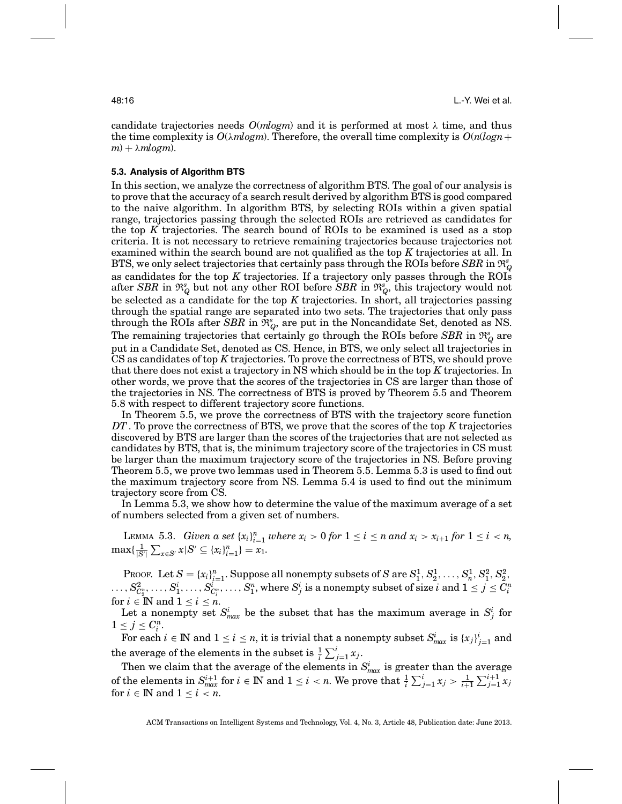candidate trajectories needs  $O(m \log m)$  and it is performed at most  $\lambda$  time, and thus the time complexity is  $O(\lambda m \log m)$ . Therefore, the overall time complexity is  $O(n(\log n +$  $m$ ) +  $\lambda$ *mlogm*).

## **5.3. Analysis of Algorithm BTS**

In this section, we analyze the correctness of algorithm BTS. The goal of our analysis is to prove that the accuracy of a search result derived by algorithm BTS is good compared to the naive algorithm. In algorithm BTS, by selecting ROIs within a given spatial range, trajectories passing through the selected ROIs are retrieved as candidates for the top *K* trajectories. The search bound of ROIs to be examined is used as a stop criteria. It is not necessary to retrieve remaining trajectories because trajectories not examined within the search bound are not qualified as the top *K* trajectories at all. In BTS, we only select trajectories that certainly pass through the ROIs before  $SBR$  in  $\mathfrak{R}_Q^s$ as candidates for the top *K* trajectories. If a trajectory only passes through the ROIs after *SBR* in  $\mathfrak{R}_Q^s$  but not any other ROI before *SBR* in  $\mathfrak{R}_Q^s$ , this trajectory would not be selected as a candidate for the top *K* trajectories. In short, all trajectories passing through the spatial range are separated into two sets. The trajectories that only pass through the ROIs after  $\bar{S}BR$  in  $\mathfrak{R}^s_Q$ , are put in the Noncandidate Set, denoted as NS. The remaining trajectories that certainly go through the ROIs before  $SBR$  in  $\mathfrak{R}_Q^s$  are put in a Candidate Set, denoted as CS. Hence, in BTS, we only select all trajectories in CS as candidates of top *K* trajectories. To prove the correctness of BTS, we should prove that there does not exist a trajectory in NS which should be in the top *K* trajectories. In other words, we prove that the scores of the trajectories in CS are larger than those of the trajectories in NS. The correctness of BTS is proved by Theorem 5.5 and Theorem 5.8 with respect to different trajectory score functions.

In Theorem 5.5, we prove the correctness of BTS with the trajectory score function *DT*. To prove the correctness of BTS, we prove that the scores of the top *K* trajectories discovered by BTS are larger than the scores of the trajectories that are not selected as candidates by BTS, that is, the minimum trajectory score of the trajectories in CS must be larger than the maximum trajectory score of the trajectories in NS. Before proving Theorem 5.5, we prove two lemmas used in Theorem 5.5. Lemma 5.3 is used to find out the maximum trajectory score from NS. Lemma 5.4 is used to find out the minimum trajectory score from CS.

In Lemma 5.3, we show how to determine the value of the maximum average of a set of numbers selected from a given set of numbers.

LEMMA 5.3. *Given a set*  $\{x_i\}_{i=1}^n$  *where*  $x_i > 0$  *for*  $1 \le i \le n$  *and*  $x_i > x_{i+1}$  *for*  $1 \le i \le n$ ,  $\max\{\frac{1}{|S'|}\sum_{x\in S'} x|S'\subseteq \{x_i\}_{i=1}^n\}=x_1.$ 

Proof. Let  $S = \{x_i\}_{i=1}^n$ . Suppose all nonempty subsets of  $S$  are  $S_1^1, S_2^1, \ldots, S_n^1, S_1^2, S_2^2$ ,  $\ldots, S^2_{C^n_2}, \ldots, S^i_1, \ldots, S^i_{C^n_i}, \ldots, S^n_1,$  where  $S^i_j$  is a nonempty subset of size  $i$  and  $1 \leq j \leq C^n_i$ for  $i \in \mathbb{N}$  and  $1 \leq i \leq n$ .

Let a nonempty set  $S_{max}^i$  be the subset that has the maximum average in  $S_j^i$  for  $1 \leq j \leq C_i^n$ .

 $\text{For each } i \in \mathbb{N} \text{ and } 1 \leq i \leq n \text{, it is trivial that a nonempty subset } S_{max}^i \text{ is } \{x_j\}_{j=1}^i \text{ and } S_{max}^i \text{ is } \{x_j\}_{j=1}^i \text{ and } S_{max}^i \text{ is } \{x_j\}_{j=1}^i \text{ and } S_{max}^i \text{ is } \{x_j\}_{j=1}^i \text{ and } S_{max}^i \text{ is } \{x_j\}_{j=1}^i \text{ and } S_{max}^i \text{ is } \{x_j\}_{j=1}^i \text{ and } S_{max}^i \text{$ the average of the elements in the subset is  $\frac{1}{i} \sum_{j=1}^{i} x_j$ .

Then we claim that the average of the elements in  $S^i_{max}$  is greater than the average  $\sum_{i=1}^{i} x_i = \sum_{i=1}^{i+1} x_i$  *i*  $\in \mathbb{N}$  and  $1 \leq i < n$ . We prove that  $\frac{1}{i} \sum_{j=1}^{i} x_j > \frac{1}{i+1} \sum_{j=1}^{i+1} x_j$ for  $i \in \mathbb{N}$  and  $1 \leq i \leq n$ .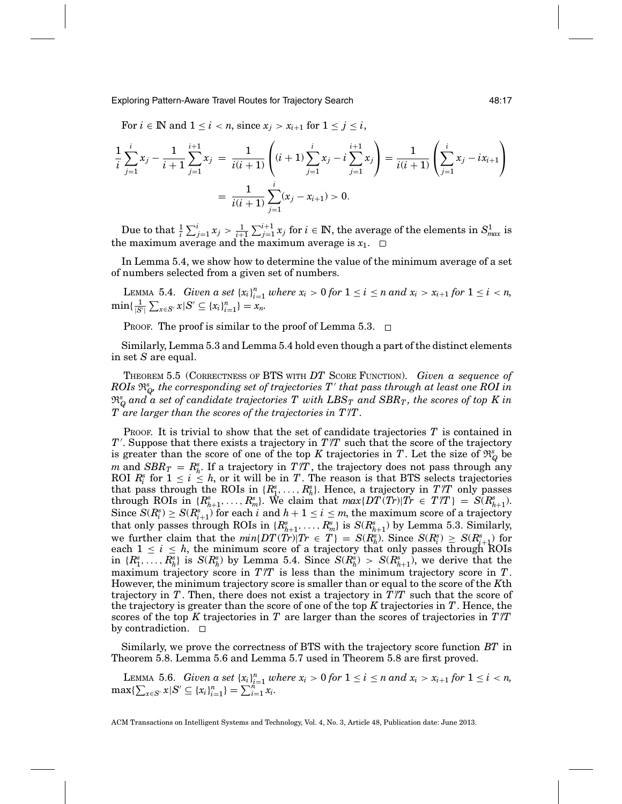Exploring Pattern-Aware Travel Routes for Trajectory Search 48:17

For  $i \in \mathbb{N}$  and  $1 \leq i < n$ , since  $x_i > x_{i+1}$  for  $1 \leq j \leq i$ ,

$$
\frac{1}{i} \sum_{j=1}^{i} x_j - \frac{1}{i+1} \sum_{j=1}^{i+1} x_j = \frac{1}{i(i+1)} \left( (i+1) \sum_{j=1}^{i} x_j - i \sum_{j=1}^{i+1} x_j \right) = \frac{1}{i(i+1)} \left( \sum_{j=1}^{i} x_j - ix_{i+1} \right)
$$
\n
$$
= \frac{1}{i(i+1)} \sum_{j=1}^{i} (x_j - x_{i+1}) > 0.
$$

Due to that  $\frac{1}{i}\sum_{j=1}^i x_j > \frac{1}{i+1}\sum_{j=1}^{i+1} x_j$  for  $i \in \mathbb{N}$ , the average of the elements in  $S^1_{max}$  is the maximum average and the maximum average is *x*1.

In Lemma 5.4, we show how to determine the value of the minimum average of a set of numbers selected from a given set of numbers.

LEMMA 5.4. *Given a set*  $\{x_i\}_{i=1}^n$  *where*  $x_i > 0$  *for*  $1 \le i \le n$  *and*  $x_i > x_{i+1}$  *for*  $1 \le i \le n$ ,  $\min\{\frac{1}{|S'|}\sum_{x\in S'} x|S'\subseteq \{x_i\}_{i=1}^n\} = x_n.$ 

PROOF. The proof is similar to the proof of Lemma 5.3.  $\Box$ 

Similarly, Lemma 5.3 and Lemma 5.4 hold even though a part of the distinct elements in set *S* are equal.

THEOREM 5.5 (CORRECTNESS OF BTS WITH *DT* SCORE FUNCTION). *Given a sequence of*  $ROIs \ \mathfrak{R}_Q^s$  the corresponding set of trajectories  $T'$  that pass through at least one ROI in  $\mathfrak{R}_{Q}^{s}$  and  $\stackrel{\centerdot}{a}$  set of candidate trajectories  $T$  with  $LBS_{T}$  and  $SBR_{T},$  the scores of top  $K$  in *T are larger than the scores of the trajectories in T /T .*

PROOF. It is trivial to show that the set of candidate trajectories *T* is contained in *T* . Suppose that there exists a trajectory in *T* /*T* such that the score of the trajectory is greater than the score of one of the top *K* trajectories in *T*. Let the size of  $\mathfrak{R}_{Q}^{s}$  be *m* and  $SBR_T = R_h^s$ . If a trajectory in  $T/T$ , the trajectory does not pass through any ROI  $R_i^s$  for  $1 \le i \le h$ , or it will be in *T*. The reason is that BTS selects trajectories that pass through the ROIs in  $\{R_1^s, \ldots, R_h^s\}$ . Hence, a trajectory in  $T/T$  only passes through ROIs in  $\{R_{h+1}^s, \ldots, R_m^s\}$ . We claim that  $max\{DT(Tr)|\overline{Tr} \in T/T\} = \overline{S(R_{h+1}^s)}$ .  $\text{Since } S(R_i^s) \geq S(R_{i+1}^s) \text{ for each } i \text{ and } h+1 \leq i \leq m \text{, the maximum score of a trajectory}$ that only passes through ROIs in  $\{R_{h+1}^s, \ldots, R_m^s\}$  is  $S(R_{h+1}^s)$  by Lemma 5.3. Similarly, we further claim that the  $min\{DT(Tr)|Tr \in T\} = S(R_h^s)$ . Since  $S(R_i^s) \geq S(R_{i+1}^s)$  for each  $1 \leq i \leq h$ , the minimum score of a trajectory that only passes through ROIs in  $\{R_1^s, \ldots, R_h^s\}$  is  $S(R_h^s)$  by Lemma 5.4. Since  $S(R_h^s) > S(R_{h+1}^s)$ , we derive that the maximum trajectory score in *T* /*T* is less than the minimum trajectory score in *T*. However, the minimum trajectory score is smaller than or equal to the score of the *K*th trajectory in *T*. Then, there does not exist a trajectory in *T* /*T* such that the score of the trajectory is greater than the score of one of the top *K* trajectories in *T*. Hence, the scores of the top *K* trajectories in *T* are larger than the scores of trajectories in *T* /*T* by contradiction.  $\Box$ 

Similarly, we prove the correctness of BTS with the trajectory score function *BT* in Theorem 5.8. Lemma 5.6 and Lemma 5.7 used in Theorem 5.8 are first proved.

LEMMA 5.6. *Given a set*  $\{x_i\}_{i=1}^n$  *where*  $x_i > 0$  for  $1 \leq i \leq n$  *and*  $x_i > x_{i+1}$  for  $1 \leq i < n$ ,  $\max\{\sum_{x\in S'} x | S' \subseteq \{x_i\}_{i=1}^n\} = \sum_{i=1}^{n-1} x_i.$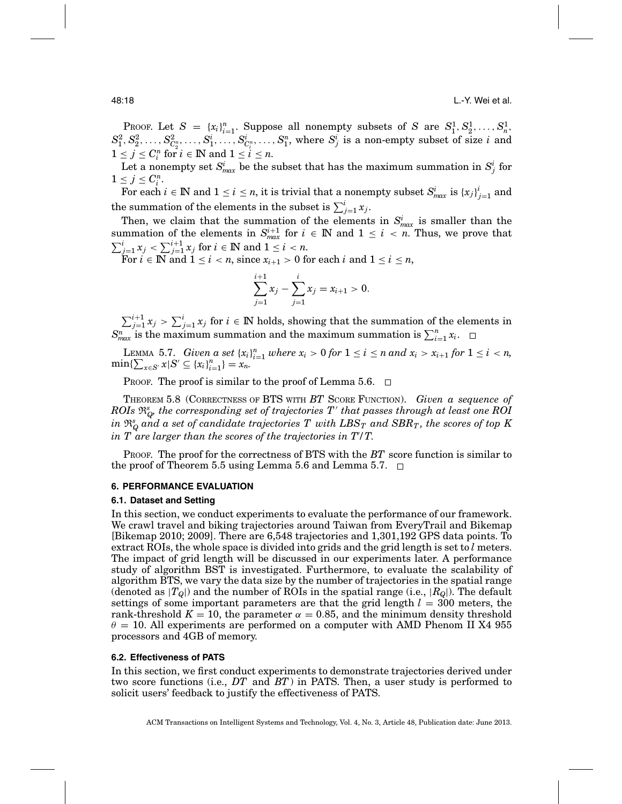PROOF. Let  $S = {x_i}_{i=1}^n$ . Suppose all nonempty subsets of *S* are  $S_1^1, S_2^1, \ldots, S_n^1$ .  $S^2_1, S^2_2, \ldots, S^2_{C^n_2}, \ldots, S^i_1, \ldots, S^i_{C^n_i}, \ldots, S^n_1, \text{ where } S^i_j \text{ is a non-empty subset of size } i \text{ and }$  $1 \leq j \leq C_i^n$  for  $i \in \mathbb{N}$  and  $1 \leq i \leq n$ .

Let a nonempty set  $S^i_{max}$  be the subset that has the maximum summation in  $S^i_j$  for  $1 \leq j \leq C_i^n$ .

 $\text{For each } i \in \mathbb{N} \text{ and } 1 \leq i \leq n \text{, it is trivial that a nonempty subset } S_{max}^i \text{ is } \{x_j\}_{j=1}^i \text{ and } S_{max}^i \text{ is } \{x_j\}_{j=1}^i \text{ and } S_{max}^i \text{ is } \{x_j\}_{j=1}^i \text{ and } S_{max}^i \text{ is } \{x_j\}_{j=1}^i \text{ and } S_{max}^i \text{ is } \{x_j\}_{j=1}^i \text{ and } S_{max}^i \text{ is } \{x_j\}_{j=1}^i \text{ and } S_{max}^i \text{$ the summation of the elements in the subset is  $\sum_{j=1}^{i} x_j$ .

Then, we claim that the summation of the elements in  $S_{max}^i$  is smaller than the summation of the elements in  $S_{max}^{i+1}$  for  $i \in \mathbb{N}$  and  $1 \leq i \leq n$ . Thus, we prove that  $\sum_{j=1}^{i} x_j < \sum_{j=1}^{i+1} x_j$  for  $i \in \mathbb{N}$  and  $1 \le i < n$ .

 $\text{For } i \in \mathbb{N} \text{ and } 1 \leq i < n \text{, since } x_{i+1} > 0 \text{ for each } i \text{ and } 1 \leq i \leq n \text{,}$ 

$$
\sum_{j=1}^{i+1} x_j - \sum_{j=1}^i x_j = x_{i+1} > 0.
$$

 $\sum_{j=1}^{i+1} x_j > \sum_{j=1}^{i} x_j$  for  $i \in \mathbb{N}$  holds, showing that the summation of the elements in  $S_{max}^n$  is the maximum summation and the maximum summation is  $\sum_{i=1}^n x_i$ .

LEMMA 5.7. *Given a set*  $\{x_i\}_{i=1}^n$  *where*  $x_i > 0$  *for*  $1 \le i \le n$  *and*  $x_i > x_{i+1}$  *for*  $1 \le i \le n$ *,*  $\min\{\sum_{x \in S'} x | S' \subseteq \{x_i\}_{i=1}^n\} = x_n.$ 

PROOF. The proof is similar to the proof of Lemma 5.6.  $\Box$ 

THEOREM 5.8 (CORRECTNESS OF BTS WITH *BT* SCORE FUNCTION). *Given a sequence of*  $ROIs \ \mathfrak{R}_Q^s$  the corresponding set of trajectories  $T'$  that passes through at least one ROI  $i$ n  $\mathfrak{R}_{Q}^{s}$  *and a set of candidate trajectories T with*  $LBS_{T}$  *and*  $SBR_{T},$  *the scores of top K in T are larger than the scores of the trajectories in T /T.*

PROOF. The proof for the correctness of BTS with the *BT* score function is similar to the proof of Theorem 5.5 using Lemma 5.6 and Lemma 5.7.  $\Box$ 

### **6. PERFORMANCE EVALUATION**

#### **6.1. Dataset and Setting**

In this section, we conduct experiments to evaluate the performance of our framework. We crawl travel and biking trajectories around Taiwan from EveryTrail and Bikemap [Bikemap 2010; 2009]. There are 6,548 trajectories and 1,301,192 GPS data points. To extract ROIs, the whole space is divided into grids and the grid length is set to *l* meters. The impact of grid length will be discussed in our experiments later. A performance study of algorithm BST is investigated. Furthermore, to evaluate the scalability of algorithm BTS, we vary the data size by the number of trajectories in the spatial range (denoted as  $|T_Q|$ ) and the number of ROIs in the spatial range (i.e.,  $|R_Q|$ ). The default settings of some important parameters are that the grid length  $l = 300$  meters, the rank-threshold  $K = 10$ , the parameter  $\alpha = 0.85$ , and the minimum density threshold  $\theta = 10$ . All experiments are performed on a computer with AMD Phenom II X4 955 processors and 4GB of memory.

### **6.2. Effectiveness of PATS**

In this section, we first conduct experiments to demonstrate trajectories derived under two score functions (i.e., *DT* and *BT*) in PATS. Then, a user study is performed to solicit users' feedback to justify the effectiveness of PATS.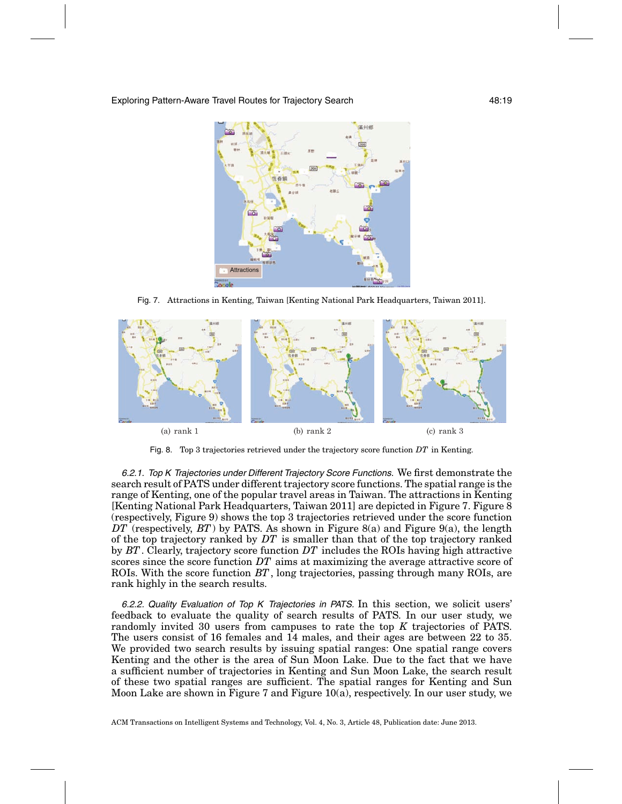

Fig. 7. Attractions in Kenting, Taiwan [Kenting National Park Headquarters, Taiwan 2011].



Fig. 8. Top 3 trajectories retrieved under the trajectory score function *DT* in Kenting.

6.2.1. Top K Trajectories under Different Trajectory Score Functions. We first demonstrate the search result of PATS under different trajectory score functions. The spatial range is the range of Kenting, one of the popular travel areas in Taiwan. The attractions in Kenting [Kenting National Park Headquarters, Taiwan 2011] are depicted in Figure 7. Figure 8 (respectively, Figure 9) shows the top 3 trajectories retrieved under the score function *DT* (respectively, *BT*) by PATS. As shown in Figure 8(a) and Figure 9(a), the length of the top trajectory ranked by *DT* is smaller than that of the top trajectory ranked by *BT*. Clearly, trajectory score function *DT* includes the ROIs having high attractive scores since the score function *DT* aims at maximizing the average attractive score of ROIs. With the score function *BT*, long trajectories, passing through many ROIs, are rank highly in the search results.

6.2.2. Quality Evaluation of Top <sup>K</sup> Trajectories in PATS. In this section, we solicit users' feedback to evaluate the quality of search results of PATS. In our user study, we randomly invited 30 users from campuses to rate the top *K* trajectories of PATS. The users consist of 16 females and 14 males, and their ages are between 22 to 35. We provided two search results by issuing spatial ranges: One spatial range covers Kenting and the other is the area of Sun Moon Lake. Due to the fact that we have a sufficient number of trajectories in Kenting and Sun Moon Lake, the search result of these two spatial ranges are sufficient. The spatial ranges for Kenting and Sun Moon Lake are shown in Figure 7 and Figure 10(a), respectively. In our user study, we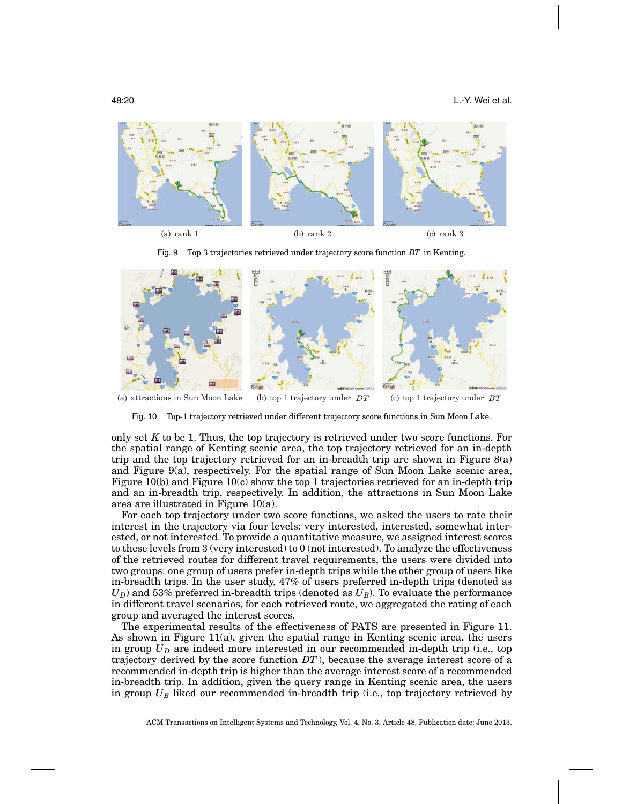

Fig. 9. Top 3 trajectories retrieved under trajectory score function *BT* in Kenting.



(a) attractions in Sun Moon Lake (b) top 1 trajectory under  $DT$  (c) top 1 trajectory under  $BT$ 

Fig. 10. Top-1 trajectory retrieved under different trajectory score functions in Sun Moon Lake.

only set *K* to be 1. Thus, the top trajectory is retrieved under two score functions. For the spatial range of Kenting scenic area, the top trajectory retrieved for an in-depth trip and the top trajectory retrieved for an in-breadth trip are shown in Figure 8(a) and Figure 9(a), respectively. For the spatial range of Sun Moon Lake scenic area, Figure 10(b) and Figure 10(c) show the top 1 trajectories retrieved for an in-depth trip and an in-breadth trip, respectively. In addition, the attractions in Sun Moon Lake area are illustrated in Figure 10(a).

For each top trajectory under two score functions, we asked the users to rate their interest in the trajectory via four levels: very interested, interested, somewhat interested, or not interested. To provide a quantitative measure, we assigned interest scores to these levels from 3 (very interested) to 0 (not interested). To analyze the effectiveness of the retrieved routes for different travel requirements, the users were divided into two groups: one group of users prefer in-depth trips while the other group of users like in-breadth trips. In the user study, 47% of users preferred in-depth trips (denoted as  $U_D$ ) and 53% preferred in-breadth trips (denoted as  $U_B$ ). To evaluate the performance in different travel scenarios, for each retrieved route, we aggregated the rating of each group and averaged the interest scores.

The experimental results of the effectiveness of PATS are presented in Figure 11. As shown in Figure 11(a), given the spatial range in Kenting scenic area, the users in group  $U_D$  are indeed more interested in our recommended in-depth trip (i.e., top trajectory derived by the score function *DT*), because the average interest score of a recommended in-depth trip is higher than the average interest score of a recommended in-breadth trip. In addition, given the query range in Kenting scenic area, the users in group *UB* liked our recommended in-breadth trip (i.e., top trajectory retrieved by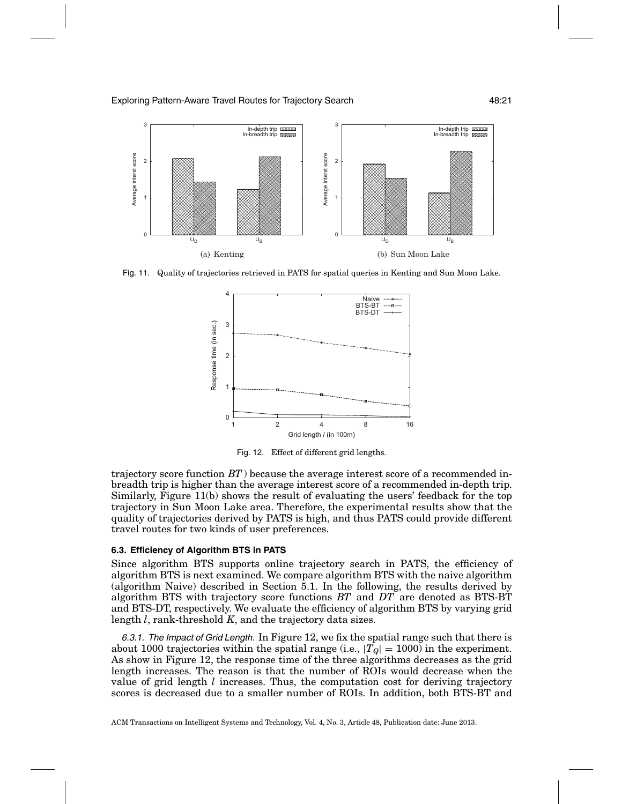

Fig. 11. Quality of trajectories retrieved in PATS for spatial queries in Kenting and Sun Moon Lake.



Fig. 12. Effect of different grid lengths.

trajectory score function *BT*) because the average interest score of a recommended inbreadth trip is higher than the average interest score of a recommended in-depth trip. Similarly, Figure 11(b) shows the result of evaluating the users' feedback for the top trajectory in Sun Moon Lake area. Therefore, the experimental results show that the quality of trajectories derived by PATS is high, and thus PATS could provide different travel routes for two kinds of user preferences.

### **6.3. Efficiency of Algorithm BTS in PATS**

Since algorithm BTS supports online trajectory search in PATS, the efficiency of algorithm BTS is next examined. We compare algorithm BTS with the naive algorithm (algorithm Naive) described in Section 5.1. In the following, the results derived by algorithm BTS with trajectory score functions *BT* and *DT* are denoted as BTS-BT and BTS-DT, respectively. We evaluate the efficiency of algorithm BTS by varying grid length *l*, rank-threshold *K*, and the trajectory data sizes.

6.3.1. The Impact of Grid Length. In Figure 12, we fix the spatial range such that there is about 1000 trajectories within the spatial range (i.e.,  $|T_Q| = 1000$ ) in the experiment. As show in Figure 12, the response time of the three algorithms decreases as the grid length increases. The reason is that the number of ROIs would decrease when the value of grid length *l* increases. Thus, the computation cost for deriving trajectory scores is decreased due to a smaller number of ROIs. In addition, both BTS-BT and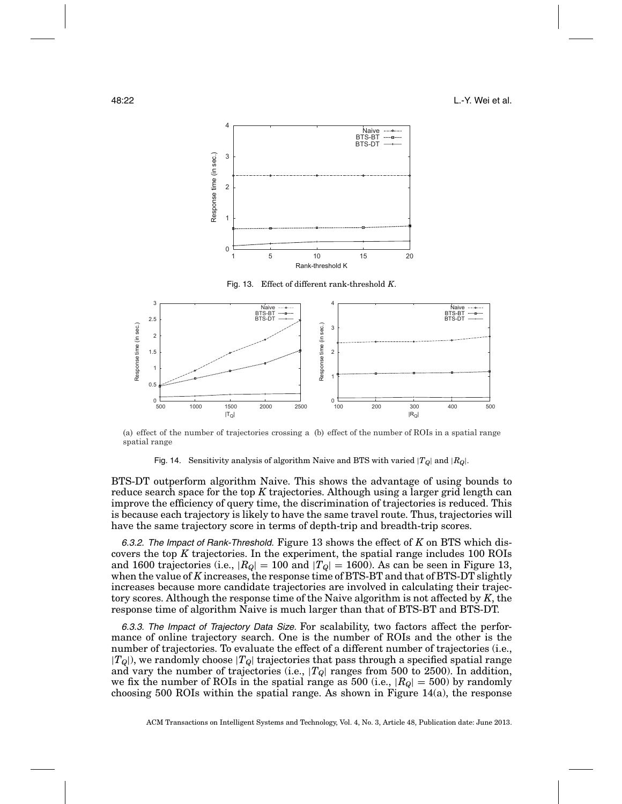



(a) effect of the number of trajectories crossing a (b) effect of the number of ROIs in a spatial range spatial range

Fig. 14. Sensitivity analysis of algorithm Naive and BTS with varied  $|T_Q|$  and  $|R_Q|$ .

BTS-DT outperform algorithm Naive. This shows the advantage of using bounds to reduce search space for the top *K* trajectories. Although using a larger grid length can improve the efficiency of query time, the discrimination of trajectories is reduced. This is because each trajectory is likely to have the same travel route. Thus, trajectories will have the same trajectory score in terms of depth-trip and breadth-trip scores.

6.3.2. The Impact of Rank-Threshold. Figure 13 shows the effect of *K* on BTS which discovers the top *K* trajectories. In the experiment, the spatial range includes 100 ROIs and 1600 trajectories (i.e.,  $|R_Q| = 100$  and  $|T_Q| = 1600$ ). As can be seen in Figure 13, when the value of *K* increases, the response time of BTS-BT and that of BTS-DT slightly increases because more candidate trajectories are involved in calculating their trajectory scores. Although the response time of the Naive algorithm is not affected by *K*, the response time of algorithm Naive is much larger than that of BTS-BT and BTS-DT.

6.3.3. The Impact of Trajectory Data Size. For scalability, two factors affect the performance of online trajectory search. One is the number of ROIs and the other is the number of trajectories. To evaluate the effect of a different number of trajectories (i.e., |*TQ*|), we randomly choose |*TQ*| trajectories that pass through a specified spatial range and vary the number of trajectories (i.e.,  $|T_Q|$  ranges from 500 to 2500). In addition, we fix the number of ROIs in the spatial range as 500 (i.e.,  $|R_{Q}| = 500$ ) by randomly choosing 500 ROIs within the spatial range. As shown in Figure 14(a), the response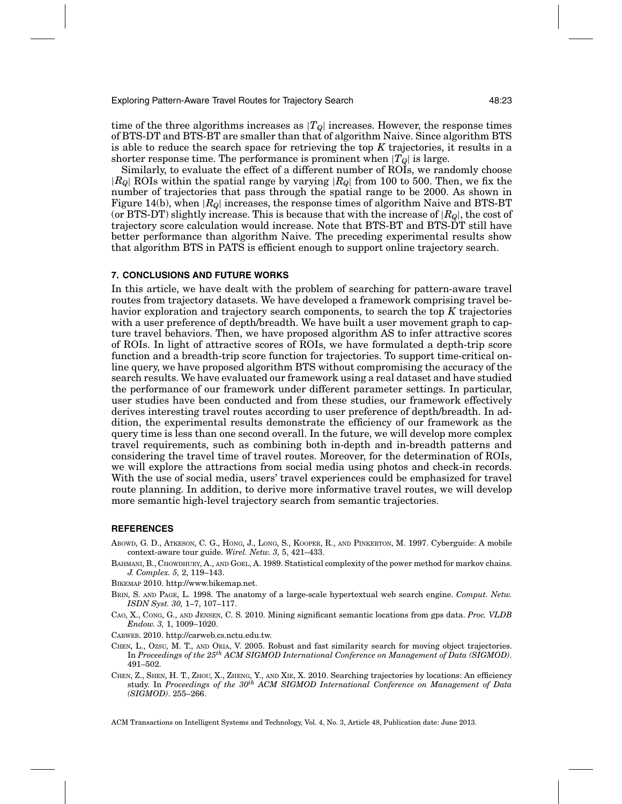Exploring Pattern-Aware Travel Routes for Trajectory Search 48:23

time of the three algorithms increases as  $|T_Q|$  increases. However, the response times of BTS-DT and BTS-BT are smaller than that of algorithm Naive. Since algorithm BTS is able to reduce the search space for retrieving the top *K* trajectories, it results in a shorter response time. The performance is prominent when  $|T_{Q}|$  is large.

Similarly, to evaluate the effect of a different number of ROIs, we randomly choose |*RQ*| ROIs within the spatial range by varying |*RQ*| from 100 to 500. Then, we fix the number of trajectories that pass through the spatial range to be 2000. As shown in Figure 14(b), when |*RQ*| increases, the response times of algorithm Naive and BTS-BT (or BTS-DT) slightly increase. This is because that with the increase of  $|R_{Q}|$ , the cost of trajectory score calculation would increase. Note that BTS-BT and BTS-DT still have better performance than algorithm Naive. The preceding experimental results show that algorithm BTS in PATS is efficient enough to support online trajectory search.

#### **7. CONCLUSIONS AND FUTURE WORKS**

In this article, we have dealt with the problem of searching for pattern-aware travel routes from trajectory datasets. We have developed a framework comprising travel behavior exploration and trajectory search components, to search the top *K* trajectories with a user preference of depth/breadth. We have built a user movement graph to capture travel behaviors. Then, we have proposed algorithm AS to infer attractive scores of ROIs. In light of attractive scores of ROIs, we have formulated a depth-trip score function and a breadth-trip score function for trajectories. To support time-critical online query, we have proposed algorithm BTS without compromising the accuracy of the search results. We have evaluated our framework using a real dataset and have studied the performance of our framework under different parameter settings. In particular, user studies have been conducted and from these studies, our framework effectively derives interesting travel routes according to user preference of depth/breadth. In addition, the experimental results demonstrate the efficiency of our framework as the query time is less than one second overall. In the future, we will develop more complex travel requirements, such as combining both in-depth and in-breadth patterns and considering the travel time of travel routes. Moreover, for the determination of ROIs, we will explore the attractions from social media using photos and check-in records. With the use of social media, users' travel experiences could be emphasized for travel route planning. In addition, to derive more informative travel routes, we will develop more semantic high-level trajectory search from semantic trajectories.

#### **REFERENCES**

- ABOWD, G. D., ATKESON, C. G., HONG, J., LONG, S., KOOPER, R., AND PINKERTON, M. 1997. Cyberguide: A mobile context-aware tour guide. *Wirel. Netw. 3,* 5, 421–433.
- BAHMANI, B., CHOWDHURY, A., AND GOEL, A. 1989. Statistical complexity of the power method for markov chains. *J. Complex. 5,* 2, 119–143.

BIKEMAP 2010. http://www.bikemap.net.

- BRIN, S. AND PAGE, L. 1998. The anatomy of a large-scale hypertextual web search engine. *Comput. Netw. ISDN Syst. 30,* 1–7, 107–117.
- CAO, X., CONG, G., AND JENSEN, C. S. 2010. Mining significant semantic locations from gps data. *Proc. VLDB Endow. 3,* 1, 1009–1020.

CARWEB. 2010. http://carweb.cs.nctu.edu.tw.

- CHEN, L., OZSU, M. T., AND ORIA, V. 2005. Robust and fast similarity search for moving object trajectories. In *Proceedings of the 25th ACM SIGMOD International Conference on Management of Data (SIGMOD)*. 491–502.
- CHEN, Z., SHEN, H. T., ZHOU, X., ZHENG, Y., AND XIE, X. 2010. Searching trajectories by locations: An efficiency study. In *Proceedings of the 30th ACM SIGMOD International Conference on Management of Data (SIGMOD)*. 255–266.

ACM Transactions on Intelligent Systems and Technology, Vol. 4, No. 3, Article 48, Publication date: June 2013.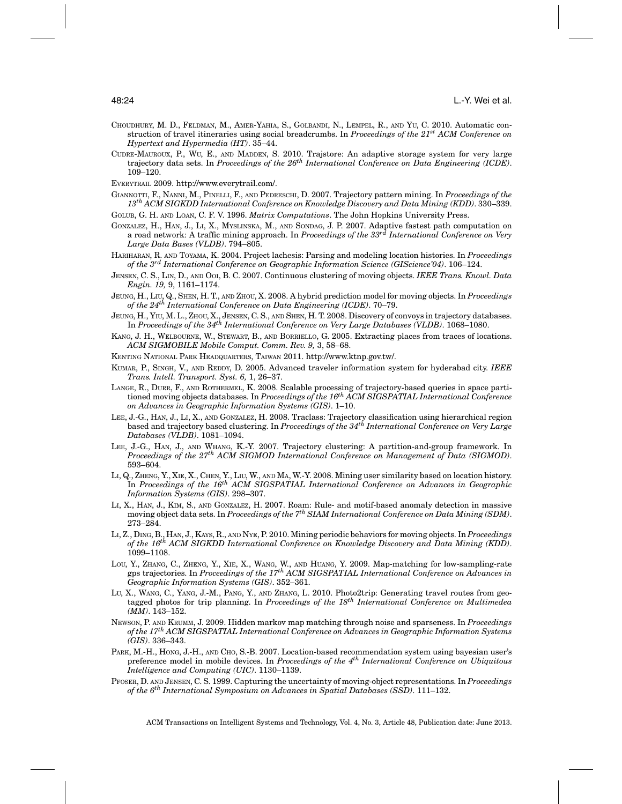- CHOUDHURY, M. D., FELDMAN, M., AMER-YAHIA, S., GOLBANDI, N., LEMPEL, R., AND YU, C. 2010. Automatic construction of travel itineraries using social breadcrumbs. In *Proceedings of the 21st ACM Conference on Hypertext and Hypermedia (HT)*. 35–44.
- CUDRE-MAUROUX, P., WU, E., AND MADDEN, S. 2010. Trajstore: An adaptive storage system for very large trajectory data sets. In *Proceedings of the 26th International Conference on Data Engineering (ICDE)*. 109–120.
- EVERYTRAIL 2009. http://www.everytrail.com/.
- GIANNOTTI, F., NANNI, M., PINELLI, F., AND PEDRESCHI, D. 2007. Trajectory pattern mining. In *Proceedings of the 13th ACM SIGKDD International Conference on Knowledge Discovery and Data Mining (KDD)*. 330–339.
- GOLUB, G. H. AND LOAN, C. F. V. 1996. *Matrix Computations*. The John Hopkins University Press.
- GONZALEZ, H., HAN, J., LI, X., MYSLINSKA, M., AND SONDAG, J. P. 2007. Adaptive fastest path computation on a road network: A traffic mining approach. In *Proceedings of the 33rd International Conference on Very Large Data Bases (VLDB)*. 794–805.
- HARIHARAN, R. AND TOYAMA, K. 2004. Project lachesis: Parsing and modeling location histories. In *Proceedings of the 3rd International Conference on Geographic Information Science (GIScience'04)*. 106–124.
- JENSEN, C. S., LIN, D., AND OOI, B. C. 2007. Continuous clustering of moving objects. *IEEE Trans. Knowl. Data Engin. 19,* 9, 1161–1174.
- JEUNG, H., LIU, Q., SHEN, H. T., AND ZHOU, X. 2008. A hybrid prediction model for moving objects. In *Proceedings of the 24th International Conference on Data Engineering (ICDE)*. 70–79.
- JEUNG, H., YIU, M. L., ZHOU, X., JENSEN, C. S., AND SHEN, H. T. 2008. Discovery of convoys in trajectory databases. In *Proceedings of the 34th International Conference on Very Large Databases (VLDB)*. 1068–1080.
- KANG, J. H., WELBOURNE, W., STEWART, B., AND BORRIELLO, G. 2005. Extracting places from traces of locations. *ACM SIGMOBILE Mobile Comput. Comm. Rev. 9,* 3, 58–68.
- KENTING NATIONAL PARK HEADQUARTERS, TAIWAN 2011. http://www.ktnp.gov.tw/.
- KUMAR, P., SINGH, V., AND REDDY, D. 2005. Advanced traveler information system for hyderabad city. *IEEE Trans. Intell. Transport. Syst. 6,* 1, 26–37.
- LANGE, R., DURR, F., AND ROTHERMEL, K. 2008. Scalable processing of trajectory-based queries in space partitioned moving objects databases. In *Proceedings of the 16th ACM SIGSPATIAL International Conference on Advances in Geographic Information Systems (GIS)*. 1–10.
- LEE, J.-G., HAN, J., LI, X., AND GONZALEZ, H. 2008. Traclass: Trajectory classification using hierarchical region<br>based and trajectory based clustering. In *Proceedings of the 34<sup>th</sup> International Conference on Very Large Databases (VLDB)*. 1081–1094.
- LEE, J.-G., HAN, J., AND WHANG, K.-Y. 2007. Trajectory clustering: A partition-and-group framework. In *Proceedings of the 27th ACM SIGMOD International Conference on Management of Data (SIGMOD)*. 593–604.
- LI, Q., ZHENG, Y., XIE, X., CHEN, Y., LIU, W., AND MA, W.-Y. 2008. Mining user similarity based on location history. In *Proceedings of the 16th ACM SIGSPATIAL International Conference on Advances in Geographic Information Systems (GIS)*. 298–307.
- LI, X., HAN, J., KIM, S., AND GONZALEZ, H. 2007. Roam: Rule- and motif-based anomaly detection in massive moving object data sets. In *Proceedings of the 7th SIAM International Conference on Data Mining (SDM)*. 273–284.
- LI, Z., DING, B., HAN, J., KAYS, R., AND NYE, P. 2010. Mining periodic behaviors for moving objects. In *Proceedings of the 16th ACM SIGKDD International Conference on Knowledge Discovery and Data Mining (KDD)*. 1099–1108.
- LOU, Y., ZHANG, C., ZHENG, Y., XIE, X., WANG, W., AND HUANG, Y. 2009. Map-matching for low-sampling-rate gps trajectories. In *Proceedings of the 17th ACM SIGSPATIAL International Conference on Advances in Geographic Information Systems (GIS)*. 352–361.
- LU, X., WANG, C., YANG, J.-M., PANG, Y., AND ZHANG, L. 2010. Photo2trip: Generating travel routes from geotagged photos for trip planning. In *Proceedings of the 18th International Conference on Multimedea (MM)*. 143–152.
- NEWSON, P. AND KRUMM, J. 2009. Hidden markov map matching through noise and sparseness. In *Proceedings of the 17th ACM SIGSPATIAL International Conference on Advances in Geographic Information Systems (GIS)*. 336–343.
- PARK, M.-H., HONG, J.-H., AND CHO, S.-B. 2007. Location-based recommendation system using bayesian user's preference model in mobile devices. In *Proceedings of the 4th International Conference on Ubiquitous Intelligence and Computing (UIC)*. 1130–1139.
- PFOSER, D. AND JENSEN, C. S. 1999. Capturing the uncertainty of moving-object representations. In *Proceedings of the 6th International Symposium on Advances in Spatial Databases (SSD)*. 111–132.